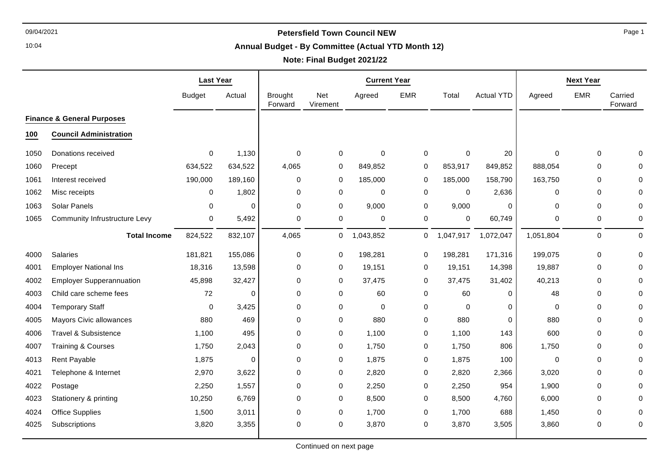10:04

#### **Annual Budget - By Committee (Actual YTD Month 12)**

# **Note: Final Budget 2021/22**

|      |                                       | <b>Last Year</b> |          | <b>Current Year</b>       |                        |             |             |             |                   |             | <b>Next Year</b> |                    |
|------|---------------------------------------|------------------|----------|---------------------------|------------------------|-------------|-------------|-------------|-------------------|-------------|------------------|--------------------|
|      |                                       | <b>Budget</b>    | Actual   | <b>Brought</b><br>Forward | <b>Net</b><br>Virement | Agreed      | <b>EMR</b>  | Total       | <b>Actual YTD</b> | Agreed      | <b>EMR</b>       | Carried<br>Forward |
|      | <b>Finance &amp; General Purposes</b> |                  |          |                           |                        |             |             |             |                   |             |                  |                    |
| 100  | <b>Council Administration</b>         |                  |          |                           |                        |             |             |             |                   |             |                  |                    |
| 1050 | Donations received                    | $\Omega$         | 1,130    | $\mathbf 0$               | $\mathbf 0$            | $\Omega$    | $\mathbf 0$ | $\Omega$    | 20                | $\Omega$    | $\mathbf 0$      | O                  |
| 1060 | Precept                               | 634,522          | 634,522  | 4,065                     | 0                      | 849,852     | $\mathbf 0$ | 853,917     | 849,852           | 888,054     | $\Omega$         | 0                  |
| 1061 | Interest received                     | 190,000          | 189,160  | 0                         | 0                      | 185,000     | 0           | 185,000     | 158,790           | 163,750     | 0                |                    |
| 1062 | Misc receipts                         | $\mathbf 0$      | 1,802    | 0                         | $\mathsf 0$            | $\mathbf 0$ | $\mathbf 0$ | $\mathbf 0$ | 2,636             | 0           | $\mathbf 0$      | $\Omega$           |
| 1063 | <b>Solar Panels</b>                   | $\Omega$         | $\Omega$ | $\Omega$                  | $\mathbf 0$            | 9,000       | 0           | 9,000       | $\Omega$          | $\Omega$    | $\Omega$         | $\Omega$           |
| 1065 | <b>Community Infrustructure Levy</b>  | 0                | 5,492    | $\mathbf 0$               | 0                      | 0           | $\mathbf 0$ | 0           | 60,749            | 0           | 0                | 0                  |
|      | <b>Total Income</b>                   | 824,522          | 832,107  | 4,065                     | 0                      | 1,043,852   | 0           | 1,047,917   | 1,072,047         | 1,051,804   | $\mathsf 0$      | $\mathbf 0$        |
| 4000 | <b>Salaries</b>                       | 181,821          | 155,086  | 0                         | 0                      | 198,281     | 0           | 198,281     | 171,316           | 199,075     | $\mathbf 0$      | $\Omega$           |
| 4001 | <b>Employer National Ins</b>          | 18,316           | 13,598   | 0                         | 0                      | 19,151      | 0           | 19,151      | 14,398            | 19,887      | 0                |                    |
| 4002 | <b>Employer Supperannuation</b>       | 45,898           | 32,427   | 0                         | $\mathbf 0$            | 37,475      | $\mathbf 0$ | 37,475      | 31,402            | 40,213      | 0                |                    |
| 4003 | Child care scheme fees                | 72               | $\Omega$ | $\Omega$                  | $\mathbf 0$            | 60          | 0           | 60          | $\Omega$          | 48          | $\Omega$         | ∩                  |
| 4004 | <b>Temporary Staff</b>                | 0                | 3,425    | $\mathbf 0$               | $\mathbf 0$            | $\mathbf 0$ | 0           | $\Omega$    | $\Omega$          | 0           | $\mathbf 0$      |                    |
| 4005 | <b>Mayors Civic allowances</b>        | 880              | 469      | $\mathbf 0$               | $\mathbf 0$            | 880         | 0           | 880         | $\Omega$          | 880         | 0                |                    |
| 4006 | <b>Travel &amp; Subsistence</b>       | 1,100            | 495      | 0                         | $\pmb{0}$              | 1,100       | 0           | 1,100       | 143               | 600         | $\Omega$         |                    |
| 4007 | <b>Training &amp; Courses</b>         | 1,750            | 2,043    | $\Omega$                  | $\mathbf 0$            | 1,750       | 0           | 1,750       | 806               | 1,750       | $\Omega$         |                    |
| 4013 | Rent Payable                          | 1,875            | $\Omega$ | $\mathbf 0$               | $\mathbf 0$            | 1,875       | 0           | 1,875       | 100               | $\mathbf 0$ | $\mathbf 0$      |                    |
| 4021 | Telephone & Internet                  | 2,970            | 3,622    | $\mathbf 0$               | 0                      | 2,820       | 0           | 2,820       | 2,366             | 3,020       | $\Omega$         | 0                  |
| 4022 | Postage                               | 2,250            | 1,557    | $\mathbf 0$               | 0                      | 2,250       | 0           | 2,250       | 954               | 1,900       | $\mathbf 0$      | $\Omega$           |
| 4023 | Stationery & printing                 | 10,250           | 6,769    | 0                         | $\mathbf 0$            | 8,500       | 0           | 8,500       | 4,760             | 6,000       | 0                |                    |
| 4024 | Office Supplies                       | 1,500            | 3,011    | $\mathbf 0$               | 0                      | 1,700       | 0           | 1,700       | 688               | 1,450       | $\mathbf 0$      |                    |
| 4025 | Subscriptions                         | 3,820            | 3,355    | $\Omega$                  | $\mathbf 0$            | 3,870       | 0           | 3,870       | 3,505             | 3,860       | $\mathbf 0$      | 0                  |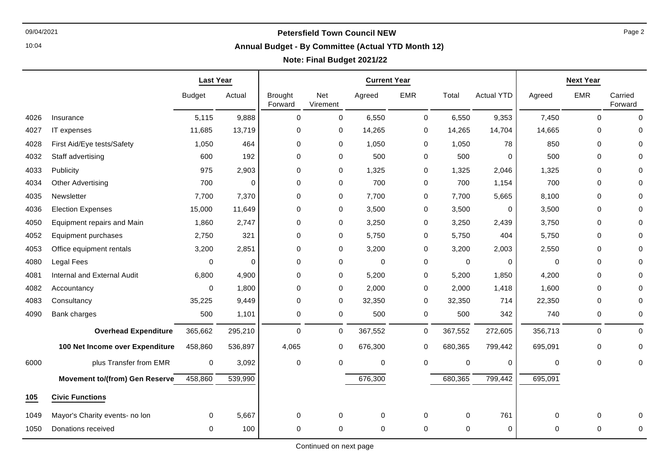10:04

# **Annual Budget - By Committee (Actual YTD Month 12)**

## **Note: Final Budget 2021/22**

|      |                                       | <b>Last Year</b> |          | <b>Current Year</b>       |                  |             |                  |             |                   |             | <b>Next Year</b> |                    |
|------|---------------------------------------|------------------|----------|---------------------------|------------------|-------------|------------------|-------------|-------------------|-------------|------------------|--------------------|
|      |                                       | <b>Budget</b>    | Actual   | <b>Brought</b><br>Forward | Net<br>Virement  | Agreed      | <b>EMR</b>       | Total       | <b>Actual YTD</b> | Agreed      | <b>EMR</b>       | Carried<br>Forward |
| 4026 | Insurance                             | 5,115            | 9,888    | $\mathbf 0$               | $\mathbf 0$      | 6,550       | $\mathbf 0$      | 6,550       | 9,353             | 7,450       | $\mathbf 0$      | $\Omega$           |
| 4027 | IT expenses                           | 11,685           | 13,719   | $\mathbf 0$               | 0                | 14,265      | 0                | 14,265      | 14,704            | 14,665      | 0                | O                  |
| 4028 | First Aid/Eye tests/Safety            | 1,050            | 464      | $\mathbf 0$               | $\mathbf 0$      | 1,050       | 0                | 1,050       | 78                | 850         | 0                |                    |
| 4032 | Staff advertising                     | 600              | 192      | $\mathbf 0$               | $\mathbf 0$      | 500         | 0                | 500         | $\Omega$          | 500         | 0                |                    |
| 4033 | Publicity                             | 975              | 2,903    | $\mathbf 0$               | $\mathbf 0$      | 1,325       | 0                | 1,325       | 2,046             | 1,325       | $\Omega$         |                    |
| 4034 | <b>Other Advertising</b>              | 700              | $\Omega$ | $\mathbf 0$               | $\mathbf 0$      | 700         | 0                | 700         | 1,154             | 700         | 0                |                    |
| 4035 | Newsletter                            | 7,700            | 7,370    | $\mathbf 0$               | 0                | 7,700       | 0                | 7,700       | 5,665             | 8,100       | 0                |                    |
| 4036 | <b>Election Expenses</b>              | 15,000           | 11,649   | $\mathbf 0$               | $\mathbf 0$      | 3,500       | $\mathbf 0$      | 3,500       | 0                 | 3,500       | 0                |                    |
| 4050 | <b>Equipment repairs and Main</b>     | 1,860            | 2,747    | $\mathbf 0$               | 0                | 3,250       | 0                | 3,250       | 2,439             | 3,750       | 0                |                    |
| 4052 | Equipment purchases                   | 2,750            | 321      | $\mathbf 0$               | 0                | 5,750       | 0                | 5,750       | 404               | 5,750       | 0                |                    |
| 4053 | Office equipment rentals              | 3,200            | 2,851    | $\mathbf 0$               | 0                | 3,200       | 0                | 3,200       | 2,003             | 2,550       | 0                |                    |
| 4080 | Legal Fees                            | 0                | 0        | $\mathbf 0$               | $\mathbf 0$      | $\mathbf 0$ | 0                | $\mathbf 0$ | 0                 | 0           | 0                |                    |
| 4081 | Internal and External Audit           | 6,800            | 4,900    | $\mathbf 0$               | $\mathbf 0$      | 5,200       | 0                | 5,200       | 1,850             | 4,200       | 0                |                    |
| 4082 | Accountancy                           | $\Omega$         | 1,800    | $\mathbf 0$               | 0                | 2,000       | 0                | 2,000       | 1,418             | 1,600       | 0                |                    |
| 4083 | Consultancy                           | 35,225           | 9,449    | $\mathbf 0$               | $\mathbf 0$      | 32,350      | 0                | 32,350      | 714               | 22,350      | 0                | 0                  |
| 4090 | Bank charges                          | 500              | 1,101    | $\mathbf 0$               | $\boldsymbol{0}$ | 500         | 0                | 500         | 342               | 740         | 0                | 0                  |
|      | <b>Overhead Expenditure</b>           | 365,662          | 295,210  | $\pmb{0}$                 | $\boldsymbol{0}$ | 367,552     | $\boldsymbol{0}$ | 367,552     | 272,605           | 356,713     | 0                | $\Omega$           |
|      | 100 Net Income over Expenditure       | 458,860          | 536,897  | 4,065                     | 0                | 676,300     | $\mathbf 0$      | 680,365     | 799,442           | 695,091     | 0                |                    |
| 6000 | plus Transfer from EMR                | $\mathbf 0$      | 3,092    | $\mathbf 0$               | 0                | 0           | $\mathbf 0$      | 0           | $\Omega$          | $\mathbf 0$ | 0                | $\Omega$           |
|      | <b>Movement to/(from) Gen Reserve</b> | 458,860          | 539,990  |                           |                  | 676,300     |                  | 680,365     | 799,442           | 695,091     |                  |                    |
| 105  | <b>Civic Functions</b>                |                  |          |                           |                  |             |                  |             |                   |             |                  |                    |
| 1049 | Mayor's Charity events- no lon        | $\Omega$         | 5,667    | $\mathbf 0$               | $\Omega$         | 0           | $\mathbf 0$      | $\Omega$    | 761               | 0           | 0                |                    |
| 1050 | Donations received                    | $\Omega$         | 100      | $\mathbf 0$               | $\Omega$         | $\Omega$    | $\mathbf 0$      | $\Omega$    | $\Omega$          | 0           | 0                | $\Omega$           |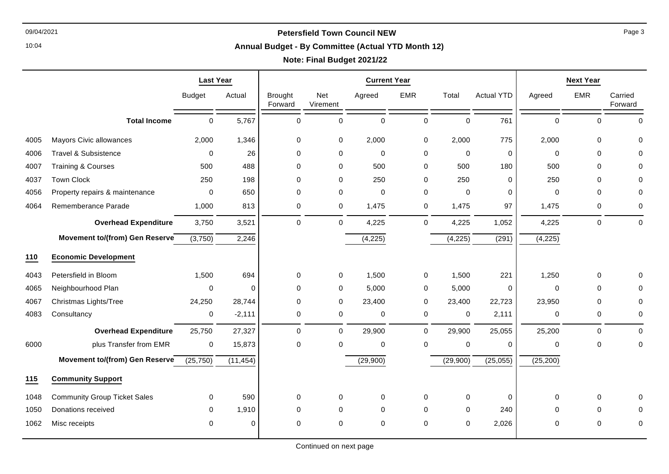10:04

#### **Annual Budget - By Committee (Actual YTD Month 12)**

## **Note: Final Budget 2021/22**

|      |                                     | <b>Last Year</b> |           | <b>Current Year</b>       |                        |             |             |             |                   |             | <b>Next Year</b> |                    |
|------|-------------------------------------|------------------|-----------|---------------------------|------------------------|-------------|-------------|-------------|-------------------|-------------|------------------|--------------------|
|      |                                     | <b>Budget</b>    | Actual    | <b>Brought</b><br>Forward | <b>Net</b><br>Virement | Agreed      | <b>EMR</b>  | Total       | <b>Actual YTD</b> | Agreed      | <b>EMR</b>       | Carried<br>Forward |
|      | <b>Total Income</b>                 | 0                | 5,767     | 0                         | $\mathbf 0$            | $\mathbf 0$ | 0           | $\mathbf 0$ | 761               | $\mathbf 0$ | 0                | $\Omega$           |
| 4005 | <b>Mayors Civic allowances</b>      | 2,000            | 1,346     | 0                         | $\mathbf 0$            | 2,000       | 0           | 2,000       | 775               | 2,000       | $\mathbf 0$      | 0                  |
| 4006 | <b>Travel &amp; Subsistence</b>     | 0                | 26        | 0                         | $\pmb{0}$              | $\mathbf 0$ | 0           | $\pmb{0}$   | $\mathbf 0$       | $\Omega$    | $\mathbf 0$      | 0                  |
| 4007 | <b>Training &amp; Courses</b>       | 500              | 488       | 0                         | 0                      | 500         | 0           | 500         | 180               | 500         | $\mathbf 0$      | 0                  |
| 4037 | <b>Town Clock</b>                   | 250              | 198       | 0                         | $\pmb{0}$              | 250         | 0           | 250         | $\mathbf 0$       | 250         | $\mathbf 0$      | 0                  |
| 4056 | Property repairs & maintenance      | 0                | 650       | 0                         | 0                      | $\mathbf 0$ | 0           | $\mathbf 0$ | 0                 | 0           | 0                | 0                  |
| 4064 | Rememberance Parade                 | 1,000            | 813       | 0                         | 0                      | 1,475       | 0           | 1,475       | 97                | 1,475       | 0                | 0                  |
|      | <b>Overhead Expenditure</b>         | 3,750            | 3,521     | $\Omega$                  | $\mathbf 0$            | 4,225       | $\mathbf 0$ | 4,225       | 1,052             | 4,225       | 0                | $\mathbf 0$        |
|      | Movement to/(from) Gen Reserve      | (3,750)          | 2,246     |                           |                        | (4,225)     |             | (4,225)     | (291)             | (4,225)     |                  |                    |
| 110  | <b>Economic Development</b>         |                  |           |                           |                        |             |             |             |                   |             |                  |                    |
| 4043 | Petersfield in Bloom                | 1,500            | 694       | 0                         | 0                      | 1,500       | 0           | 1,500       | 221               | 1,250       | 0                | 0                  |
| 4065 | Neighbourhood Plan                  | $\mathbf 0$      | 0         | 0                         | 0                      | 5,000       | 0           | 5,000       | 0                 | $\mathbf 0$ | 0                | 0                  |
| 4067 | Christmas Lights/Tree               | 24,250           | 28,744    | 0                         | 0                      | 23,400      | 0           | 23,400      | 22,723            | 23,950      | $\Omega$         | 0                  |
| 4083 | Consultancy                         | 0                | $-2,111$  | 0                         | 0                      | 0           | 0           | 0           | 2,111             | 0           | 0                | 0                  |
|      | <b>Overhead Expenditure</b>         | 25,750           | 27,327    | 0                         | 0                      | 29,900      | $\mathbf 0$ | 29,900      | 25,055            | 25,200      | 0                | $\mathbf 0$        |
| 6000 | plus Transfer from EMR              | 0                | 15,873    | 0                         | $\pmb{0}$              | 0           | 0           | $\pmb{0}$   | 0                 | 0           | $\mathbf 0$      | 0                  |
|      | Movement to/(from) Gen Reserve      | (25, 750)        | (11, 454) |                           |                        | (29,900)    |             | (29,900)    | (25, 055)         | (25, 200)   |                  |                    |
| 115  | <b>Community Support</b>            |                  |           |                           |                        |             |             |             |                   |             |                  |                    |
| 1048 | <b>Community Group Ticket Sales</b> | 0                | 590       | 0                         | 0                      | 0           | 0           | 0           | $\mathbf 0$       | $\Omega$    | 0                | 0                  |
| 1050 | Donations received                  | 0                | 1,910     | 0                         | 0                      | 0           | 0           | 0           | 240               | 0           | 0                | 0                  |
| 1062 | Misc receipts                       | 0                | $\Omega$  | 0                         | 0                      | 0           | 0           | $\mathbf 0$ | 2,026             | 0           | $\mathbf 0$      | 0                  |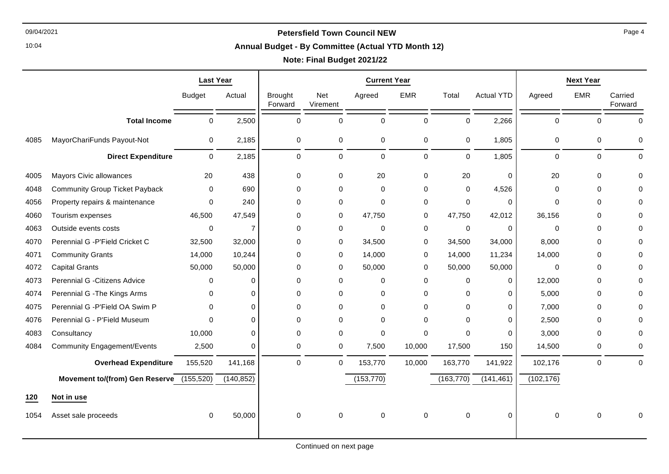#### **Annual Budget - By Committee (Actual YTD Month 12)**

|      |                                          | <b>Last Year</b> |                | <b>Current Year</b>       |                  |             |             |             |                   |             | <b>Next Year</b> |                    |
|------|------------------------------------------|------------------|----------------|---------------------------|------------------|-------------|-------------|-------------|-------------------|-------------|------------------|--------------------|
|      |                                          | <b>Budget</b>    | Actual         | <b>Brought</b><br>Forward | Net<br>Virement  | Agreed      | <b>EMR</b>  | Total       | <b>Actual YTD</b> | Agreed      | <b>EMR</b>       | Carried<br>Forward |
|      | <b>Total Income</b>                      | $\mathbf 0$      | 2,500          | $\Omega$                  | $\mathbf 0$      | $\pmb{0}$   | 0           | $\mathbf 0$ | 2,266             | $\mathbf 0$ | $\mathbf 0$      | $\Omega$           |
| 4085 | MayorChariFunds Payout-Not               | 0                | 2,185          | 0                         | 0                | $\pmb{0}$   | 0           | $\pmb{0}$   | 1,805             | 0           | 0                | $\Omega$           |
|      | <b>Direct Expenditure</b>                | $\Omega$         | 2,185          | $\mathbf 0$               | $\mathbf 0$      | $\Omega$    | $\mathbf 0$ | $\Omega$    | 1,805             | $\Omega$    | $\mathbf 0$      | $\Omega$           |
| 4005 | Mayors Civic allowances                  | 20               | 438            | 0                         | 0                | 20          | 0           | 20          | 0                 | 20          | 0                | O                  |
| 4048 | <b>Community Group Ticket Payback</b>    | $\mathbf 0$      | 690            | $\mathbf 0$               | 0                | $\mathbf 0$ | $\mathbf 0$ | $\mathbf 0$ | 4,526             | $\mathbf 0$ | $\mathbf 0$      |                    |
| 4056 | Property repairs & maintenance           | 0                | 240            | $\Omega$                  | 0                | $\Omega$    | 0           | 0           | $\Omega$          | $\Omega$    | $\Omega$         |                    |
| 4060 | Tourism expenses                         | 46,500           | 47,549         | $\mathbf 0$               | 0                | 47,750      | $\mathbf 0$ | 47,750      | 42,012            | 36,156      | 0                |                    |
| 4063 | Outside events costs                     | 0                | $\overline{7}$ | $\mathbf 0$               | 0                | $\mathbf 0$ | 0           | $\pmb{0}$   | 0                 | 0           | 0                |                    |
| 4070 | Perennial G - P'Field Cricket C          | 32,500           | 32,000         | $\mathbf 0$               | 0                | 34,500      | 0           | 34,500      | 34,000            | 8,000       | $\mathbf 0$      |                    |
| 4071 | <b>Community Grants</b>                  | 14,000           | 10,244         | $\mathbf 0$               | 0                | 14,000      | 0           | 14,000      | 11,234            | 14,000      | 0                |                    |
| 4072 | <b>Capital Grants</b>                    | 50,000           | 50,000         | $\mathbf 0$               | 0                | 50,000      | 0           | 50,000      | 50,000            | 0           | 0                |                    |
| 4073 | Perennial G - Citizens Advice            | $\Omega$         | $\Omega$       | $\Omega$                  | 0                | $\mathbf 0$ | $\mathbf 0$ | 0           | $\Omega$          | 12,000      | $\mathbf 0$      |                    |
| 4074 | Perennial G - The Kings Arms             | $\Omega$         | $\Omega$       | $\Omega$                  | 0                | $\Omega$    | $\Omega$    | $\Omega$    | $\Omega$          | 5,000       | 0                |                    |
| 4075 | Perennial G - P'Field OA Swim P          | $\Omega$         | $\Omega$       | 0                         | 0                | 0           | 0           | $\Omega$    | $\Omega$          | 7,000       | 0                |                    |
| 4076 | Perennial G - P'Field Museum             | $\Omega$         | $\Omega$       | $\Omega$                  | 0                | $\mathbf 0$ | $\mathbf 0$ | $\Omega$    | $\Omega$          | 2,500       | 0                |                    |
| 4083 | Consultancy                              | 10,000           | $\Omega$       | $\mathbf 0$               | 0                | $\mathbf 0$ | 0           | $\Omega$    | $\Omega$          | 3,000       | $\mathbf 0$      |                    |
| 4084 | <b>Community Engagement/Events</b>       | 2,500            | $\Omega$       | 0                         | $\boldsymbol{0}$ | 7,500       | 10,000      | 17,500      | 150               | 14,500      | 0                | 0                  |
|      | <b>Overhead Expenditure</b>              | 155,520          | 141,168        | 0                         | 0                | 153,770     | 10,000      | 163,770     | 141,922           | 102,176     | $\mathbf 0$      | $\Omega$           |
|      | Movement to/(from) Gen Reserve (155,520) |                  | (140, 852)     |                           |                  | (153, 770)  |             | (163, 770)  | (141, 461)        | (102, 176)  |                  |                    |
| 120  | Not in use                               |                  |                |                           |                  |             |             |             |                   |             |                  |                    |
| 1054 | Asset sale proceeds                      | $\Omega$         | 50,000         | 0                         | 0                | $\mathbf 0$ | $\mathbf 0$ | $\mathbf 0$ | 0                 | 0           | $\Omega$         |                    |
|      |                                          |                  |                |                           |                  |             |             |             |                   |             |                  |                    |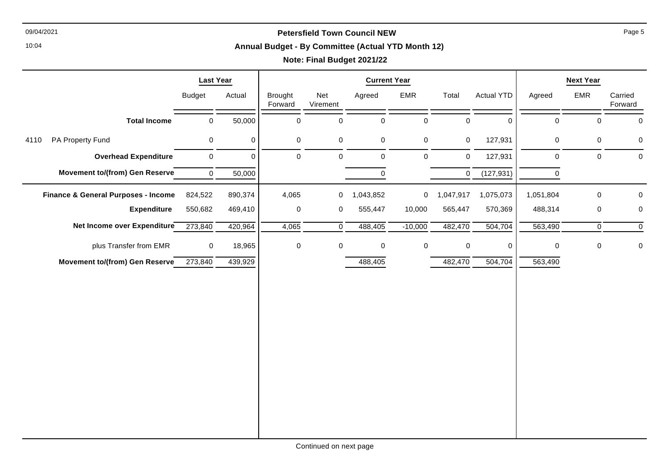10:04

#### **Annual Budget - By Committee (Actual YTD Month 12)**

|                                                | <b>Last Year</b> |          | <b>Current Year</b>       |                 |               |                |                     |                   |             | <b>Next Year</b> |                    |
|------------------------------------------------|------------------|----------|---------------------------|-----------------|---------------|----------------|---------------------|-------------------|-------------|------------------|--------------------|
|                                                | <b>Budget</b>    | Actual   | <b>Brought</b><br>Forward | Net<br>Virement | Agreed        | EMR            | Total               | <b>Actual YTD</b> | Agreed      | EMR              | Carried<br>Forward |
| <b>Total Income</b>                            | $\pmb{0}$        | 50,000   | $\mathbf 0$               | 0               | $\pmb{0}$     | $\pmb{0}$      | $\mathbf 0$         | $\mathbf 0$       | $\mathsf 0$ | $\pmb{0}$        | $\mathbf 0$        |
| PA Property Fund<br>4110                       | $\mathbf 0$      | 0        | $\mathsf{O}$              | $\mathbf 0$     | $\mathbf 0$   | $\mathbf 0$    | $\mathbf 0$         | 127,931           | 0           | $\mathbf 0$      | 0                  |
| <b>Overhead Expenditure</b>                    | $\mathbf 0$      | $\Omega$ | $\mathbf 0$               | $\mathbf 0$     | $\pmb{0}$     | $\mathbf 0$    | $\mathbf 0$         | 127,931           | $\pmb{0}$   | $\boldsymbol{0}$ | $\pmb{0}$          |
| Movement to/(from) Gen Reserve                 | $\mathbf{0}$     | 50,000   |                           |                 | $\mathbf 0$   |                | 0                   | (127, 931)        | $\mathbf 0$ |                  |                    |
| <b>Finance &amp; General Purposes - Income</b> | 824,522          | 890,374  | 4,065                     |                 | $0$ 1,043,852 | $\overline{0}$ | 1,047,917           | 1,075,073         | 1,051,804   | $\pmb{0}$        | $\mathbf 0$        |
| <b>Expenditure</b>                             | 550,682          | 469,410  | $\pmb{0}$                 | 0               | 555,447       | 10,000         | 565,447             | 570,369           | 488,314     | $\pmb{0}$        | $\pmb{0}$          |
| Net Income over Expenditure                    | 273,840          | 420,964  | 4,065                     | $\overline{0}$  | 488,405       | $-10,000$      | 482,470             | 504,704           | 563,490     | $\mathsf{O}$     | $\pmb{0}$          |
| plus Transfer from EMR                         | $\mathbf 0$      | 18,965   | $\pmb{0}$                 | 0               | $\mathsf 0$   | $\pmb{0}$      | $\mathsf{O}\xspace$ | $\mathbf 0$       | $\pmb{0}$   | $\pmb{0}$        | $\pmb{0}$          |
| Movement to/(from) Gen Reserve                 | 273,840          | 439,929  |                           |                 | 488,405       |                | 482,470             | 504,704           | 563,490     |                  |                    |
|                                                |                  |          |                           |                 |               |                |                     |                   |             |                  |                    |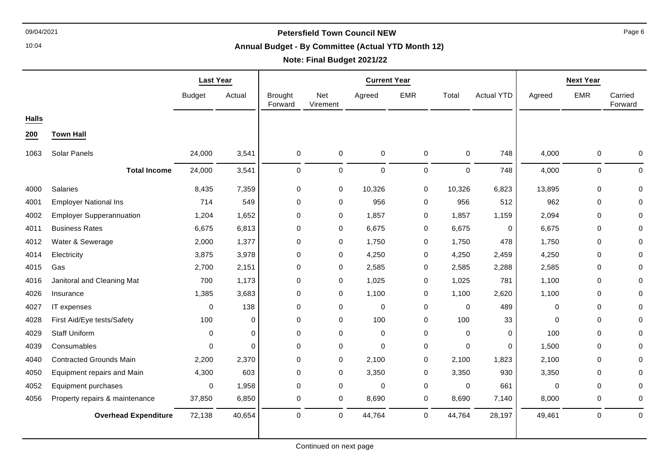10:04

#### **Annual Budget - By Committee (Actual YTD Month 12)**

# **Note: Final Budget 2021/22**

|              |                                 | <b>Last Year</b> |          | <b>Current Year</b>       |                 |             |             |             |                   |             | <b>Next Year</b> |                    |
|--------------|---------------------------------|------------------|----------|---------------------------|-----------------|-------------|-------------|-------------|-------------------|-------------|------------------|--------------------|
|              |                                 | <b>Budget</b>    | Actual   | <b>Brought</b><br>Forward | Net<br>Virement | Agreed      | <b>EMR</b>  | Total       | <b>Actual YTD</b> | Agreed      | <b>EMR</b>       | Carried<br>Forward |
| <b>Halls</b> |                                 |                  |          |                           |                 |             |             |             |                   |             |                  |                    |
| 200          | <b>Town Hall</b>                |                  |          |                           |                 |             |             |             |                   |             |                  |                    |
| 1063         | Solar Panels                    | 24,000           | 3,541    | 0                         | $\pmb{0}$       | 0           | $\mathbf 0$ | $\pmb{0}$   | 748               | 4,000       | $\mathbf 0$      | 0                  |
|              | <b>Total Income</b>             | 24,000           | 3,541    | 0                         | $\mathbf 0$     | 0           | $\mathbf 0$ | $\mathbf 0$ | 748               | 4,000       | $\mathbf 0$      | $\mathbf 0$        |
| 4000         | Salaries                        | 8,435            | 7,359    | 0                         | 0               | 10,326      | 0           | 10,326      | 6,823             | 13,895      | $\mathbf 0$      |                    |
| 4001         | <b>Employer National Ins</b>    | 714              | 549      | 0                         | 0               | 956         | 0           | 956         | 512               | 962         | $\mathbf 0$      | 0                  |
| 4002         | <b>Employer Supperannuation</b> | 1,204            | 1,652    | 0                         | 0               | 1,857       | 0           | 1,857       | 1,159             | 2,094       | $\mathbf 0$      |                    |
| 4011         | <b>Business Rates</b>           | 6,675            | 6,813    | $\boldsymbol{0}$          | 0               | 6,675       | 0           | 6,675       | 0                 | 6,675       | $\mathbf 0$      |                    |
| 4012         | Water & Sewerage                | 2,000            | 1,377    | 0                         | 0               | 1,750       | 0           | 1,750       | 478               | 1,750       | $\mathbf 0$      |                    |
| 4014         | Electricity                     | 3,875            | 3,978    | 0                         | 0               | 4,250       | 0           | 4,250       | 2,459             | 4,250       | $\mathbf 0$      |                    |
| 4015         | Gas                             | 2,700            | 2,151    | $\boldsymbol{0}$          | $\pmb{0}$       | 2,585       | 0           | 2,585       | 2,288             | 2,585       | 0                |                    |
| 4016         | Janitoral and Cleaning Mat      | 700              | 1,173    | $\mathbf 0$               | 0               | 1,025       | $\mathbf 0$ | 1,025       | 781               | 1,100       | $\Omega$         |                    |
| 4026         | Insurance                       | 1,385            | 3,683    | $\mathbf 0$               | 0               | 1,100       | 0           | 1,100       | 2,620             | 1,100       | $\mathbf 0$      |                    |
| 4027         | IT expenses                     | 0                | 138      | $\mathbf 0$               | 0               | $\mathbf 0$ | 0           | $\mathbf 0$ | 489               | 0           | $\mathbf 0$      | O                  |
| 4028         | First Aid/Eye tests/Safety      | 100              | 0        | $\mathbf 0$               | 0               | 100         | 0           | 100         | 33                | 0           | $\mathbf 0$      | <sup>0</sup>       |
| 4029         | <b>Staff Uniform</b>            | 0                | $\Omega$ | 0                         | 0               | 0           | 0           | $\Omega$    | 0                 | 100         | $\mathbf 0$      | ∩                  |
| 4039         | Consumables                     | 0                | $\Omega$ | 0                         | 0               | 0           | 0           | $\mathbf 0$ | 0                 | 1,500       | $\mathbf 0$      | 0                  |
| 4040         | <b>Contracted Grounds Main</b>  | 2,200            | 2,370    | 0                         | $\pmb{0}$       | 2,100       | 0           | 2,100       | 1,823             | 2,100       | $\mathbf 0$      |                    |
| 4050         | Equipment repairs and Main      | 4,300            | 603      | $\mathbf 0$               | 0               | 3,350       | 0           | 3,350       | 930               | 3,350       | $\Omega$         | O                  |
| 4052         | Equipment purchases             | $\mathbf 0$      | 1,958    | $\mathbf 0$               | $\mathbf 0$     | 0           | $\mathbf 0$ | $\mathbf 0$ | 661               | $\mathbf 0$ | $\mathbf 0$      | 0                  |
| 4056         | Property repairs & maintenance  | 37,850           | 6,850    | 0                         | 0               | 8,690       | 0           | 8,690       | 7,140             | 8,000       | $\mathbf 0$      | $\Omega$           |
|              | <b>Overhead Expenditure</b>     | 72,138           | 40,654   | $\Omega$                  | $\mathbf 0$     | 44,764      | $\mathbf 0$ | 44,764      | 28,197            | 49,461      | 0                | $\mathbf 0$        |
|              |                                 |                  |          |                           |                 |             |             |             |                   |             |                  |                    |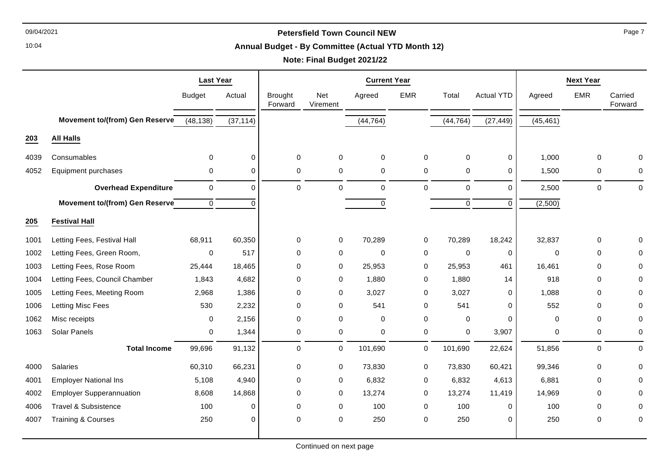10:04

#### **Annual Budget - By Committee (Actual YTD Month 12)**

# **Note: Final Budget 2021/22**

|      |                                       | <b>Last Year</b>    |                | <b>Current Year</b>       |                        |             |             |             |                   |             | <b>Next Year</b> |                    |
|------|---------------------------------------|---------------------|----------------|---------------------------|------------------------|-------------|-------------|-------------|-------------------|-------------|------------------|--------------------|
|      |                                       | <b>Budget</b>       | Actual         | <b>Brought</b><br>Forward | <b>Net</b><br>Virement | Agreed      | <b>EMR</b>  | Total       | <b>Actual YTD</b> | Agreed      | <b>EMR</b>       | Carried<br>Forward |
|      | <b>Movement to/(from) Gen Reserve</b> | (48, 138)           | (37, 114)      |                           |                        | (44, 764)   |             | (44, 764)   | (27, 449)         | (45, 461)   |                  |                    |
| 203  | <b>All Halls</b>                      |                     |                |                           |                        |             |             |             |                   |             |                  |                    |
| 4039 | Consumables                           | $\Omega$            | $\overline{0}$ | $\pmb{0}$                 | 0                      | 0           | $\mathbf 0$ | $\mathbf 0$ | $\pmb{0}$         | 1,000       | 0                | O                  |
| 4052 | Equipment purchases                   | $\mathbf 0$         | $\Omega$       | $\mathbf 0$               | $\mathbf 0$            | $\mathbf 0$ | $\mathbf 0$ | $\mathbf 0$ | $\Omega$          | 1,500       | 0                | 0                  |
|      | <b>Overhead Expenditure</b>           | $\mathsf{O}\xspace$ | $\mathbf 0$    | $\pmb{0}$                 | $\mathbf 0$            | $\pmb{0}$   | $\mathbf 0$ | $\pmb{0}$   | $\mathbf 0$       | 2,500       | $\mathsf 0$      | $\mathbf 0$        |
|      | Movement to/(from) Gen Reserve        | $\mathbf 0$         | $\Omega$       |                           |                        | $\pmb{0}$   |             | $\mathbf 0$ | $\mathbf 0$       | (2,500)     |                  |                    |
| 205  | <b>Festival Hall</b>                  |                     |                |                           |                        |             |             |             |                   |             |                  |                    |
| 1001 | Letting Fees, Festival Hall           | 68,911              | 60,350         | $\mathbf 0$               | $\mathbf 0$            | 70,289      | $\mathbf 0$ | 70,289      | 18,242            | 32,837      | 0                |                    |
| 1002 | Letting Fees, Green Room,             | $\Omega$            | 517            | $\mathbf 0$               | $\mathbf 0$            | 0           | 0           | 0           | 0                 | $\mathbf 0$ | 0                |                    |
| 1003 | Letting Fees, Rose Room               | 25,444              | 18,465         | $\mathbf 0$               | $\mathbf 0$            | 25,953      | 0           | 25,953      | 461               | 16,461      | $\mathbf 0$      | O                  |
| 1004 | Letting Fees, Council Chamber         | 1,843               | 4,682          | $\mathbf 0$               | $\mathbf 0$            | 1,880       | 0           | 1,880       | 14                | 918         | $\mathbf 0$      | 0                  |
| 1005 | Letting Fees, Meeting Room            | 2,968               | 1,386          | $\mathbf 0$               | 0                      | 3,027       | 0           | 3,027       | $\Omega$          | 1,088       | $\mathbf 0$      | 0                  |
| 1006 | Letting Misc Fees                     | 530                 | 2,232          | $\pmb{0}$                 | $\mathbf 0$            | 541         | 0           | 541         | $\Omega$          | 552         | $\mathbf 0$      | 0                  |
| 1062 | Misc receipts                         | $\mathbf 0$         | 2,156          | $\mathbf 0$               | $\mathbf 0$            | 0           | 0           | 0           | $\Omega$          | 0           | 0                | 0                  |
| 1063 | <b>Solar Panels</b>                   | 0                   | 1,344          | $\mathbf 0$               | $\mathbf 0$            | $\mathbf 0$ | $\mathbf 0$ | $\Omega$    | 3,907             | 0           | 0                | 0                  |
|      | <b>Total Income</b>                   | 99,696              | 91,132         | $\mathsf 0$               | $\mathbf 0$            | 101,690     | $\mathbf 0$ | 101,690     | 22,624            | 51,856      | $\mathsf 0$      | $\pmb{0}$          |
| 4000 | Salaries                              | 60,310              | 66,231         | $\pmb{0}$                 | $\mathbf 0$            | 73,830      | $\mathbf 0$ | 73,830      | 60,421            | 99,346      | 0                | 0                  |
| 4001 | <b>Employer National Ins</b>          | 5,108               | 4,940          | $\mathbf 0$               | $\mathbf 0$            | 6,832       | 0           | 6,832       | 4,613             | 6,881       | 0                |                    |
| 4002 | <b>Employer Supperannuation</b>       | 8,608               | 14,868         | $\pmb{0}$                 | $\mathbf 0$            | 13,274      | 0           | 13,274      | 11,419            | 14,969      | $\mathbf 0$      | 0                  |
| 4006 | Travel & Subsistence                  | 100                 | $\Omega$       | $\mathbf 0$               | $\mathbf 0$            | 100         | 0           | 100         | 0                 | 100         | 0                | 0                  |
| 4007 | <b>Training &amp; Courses</b>         | 250                 | $\Omega$       | $\mathbf 0$               | $\Omega$               | 250         | $\mathbf 0$ | 250         | $\Omega$          | 250         | $\mathbf 0$      | $\Omega$           |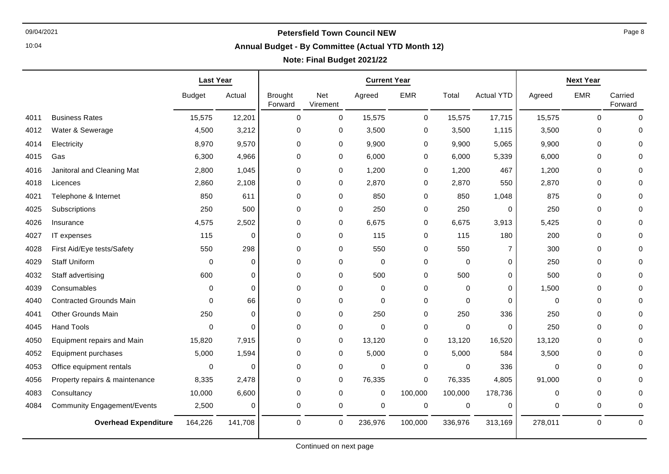┯

10:04

# **Annual Budget - By Committee (Actual YTD Month 12)**

## **Note: Final Budget 2021/22**

|      |                                    | <b>Last Year</b> |          |                           |                 | <b>Current Year</b> |             |             |                   |             | <b>Next Year</b> |                    |
|------|------------------------------------|------------------|----------|---------------------------|-----------------|---------------------|-------------|-------------|-------------------|-------------|------------------|--------------------|
|      |                                    | <b>Budget</b>    | Actual   | <b>Brought</b><br>Forward | Net<br>Virement | Agreed              | <b>EMR</b>  | Total       | <b>Actual YTD</b> | Agreed      | <b>EMR</b>       | Carried<br>Forward |
| 4011 | <b>Business Rates</b>              | 15,575           | 12,201   | $\mathsf{O}\xspace$       | 0               | 15,575              | $\pmb{0}$   | 15,575      | 17,715            | 15,575      | $\mathbf 0$      | $\Omega$           |
| 4012 | Water & Sewerage                   | 4,500            | 3,212    | $\mathbf 0$               | 0               | 3,500               | 0           | 3,500       | 1,115             | 3,500       | 0                | 0                  |
| 4014 | Electricity                        | 8,970            | 9,570    | $\mathbf 0$               | 0               | 9,900               | 0           | 9,900       | 5,065             | 9,900       | $\mathbf 0$      |                    |
| 4015 | Gas                                | 6,300            | 4,966    | $\mathbf 0$               | 0               | 6,000               | 0           | 6,000       | 5,339             | 6,000       | $\mathbf 0$      |                    |
| 4016 | Janitoral and Cleaning Mat         | 2,800            | 1,045    | $\mathbf 0$               | 0               | 1,200               | 0           | 1,200       | 467               | 1,200       | $\mathbf 0$      |                    |
| 4018 | Licences                           | 2,860            | 2,108    | $\mathbf 0$               | 0               | 2,870               | 0           | 2,870       | 550               | 2,870       | $\mathbf 0$      |                    |
| 4021 | Telephone & Internet               | 850              | 611      | $\mathbf 0$               | 0               | 850                 | $\Omega$    | 850         | 1,048             | 875         | $\Omega$         |                    |
| 4025 | Subscriptions                      | 250              | 500      | $\mathbf 0$               | 0               | 250                 | 0           | 250         | $\mathbf 0$       | 250         | $\mathbf 0$      |                    |
| 4026 | Insurance                          | 4,575            | 2,502    | $\mathbf 0$               | 0               | 6,675               | 0           | 6,675       | 3,913             | 5,425       | $\mathbf 0$      |                    |
| 4027 | IT expenses                        | 115              | $\Omega$ | $\mathbf 0$               | 0               | 115                 | 0           | 115         | 180               | 200         | $\mathbf 0$      |                    |
| 4028 | First Aid/Eye tests/Safety         | 550              | 298      | $\mathbf 0$               | 0               | 550                 | 0           | 550         | 7                 | 300         | 0                |                    |
| 4029 | <b>Staff Uniform</b>               | $\mathbf 0$      | $\Omega$ | $\mathbf 0$               | 0               | $\mathbf 0$         | 0           | $\mathbf 0$ | $\Omega$          | 250         | $\Omega$         |                    |
| 4032 | Staff advertising                  | 600              | $\Omega$ | $\mathbf 0$               | 0               | 500                 | 0           | 500         | $\mathbf 0$       | 500         | 0                |                    |
| 4039 | Consumables                        | $\mathbf 0$      | $\Omega$ | $\mathbf 0$               | 0               | 0                   | 0           | $\Omega$    | $\Omega$          | 1,500       | $\mathbf 0$      |                    |
| 4040 | <b>Contracted Grounds Main</b>     | $\Omega$         | 66       | $\mathbf 0$               | 0               | 0                   | 0           | $\Omega$    | $\Omega$          | 0           | $\mathbf 0$      |                    |
| 4041 | <b>Other Grounds Main</b>          | 250              | $\Omega$ | $\mathbf 0$               | 0               | 250                 | 0           | 250         | 336               | 250         | 0                |                    |
| 4045 | <b>Hand Tools</b>                  | $\Omega$         | $\Omega$ | $\mathbf 0$               | 0               | $\Omega$            | 0           | $\Omega$    | $\Omega$          | 250         | $\Omega$         |                    |
| 4050 | Equipment repairs and Main         | 15,820           | 7,915    | 0                         | 0               | 13,120              | 0           | 13,120      | 16,520            | 13,120      | 0                |                    |
| 4052 | Equipment purchases                | 5,000            | 1,594    | $\mathbf 0$               | 0               | 5,000               | 0           | 5,000       | 584               | 3,500       | $\mathbf 0$      |                    |
| 4053 | Office equipment rentals           | $\Omega$         | $\Omega$ | $\mathbf 0$               | 0               | $\Omega$            | $\mathbf 0$ | $\Omega$    | 336               | $\mathbf 0$ | $\Omega$         |                    |
| 4056 | Property repairs & maintenance     | 8,335            | 2,478    | $\mathbf 0$               | 0               | 76,335              | 0           | 76,335      | 4,805             | 91,000      | 0                |                    |
| 4083 | Consultancy                        | 10,000           | 6,600    | $\mathbf 0$               | 0               | $\pmb{0}$           | 100,000     | 100,000     | 178,736           | 0           | $\mathbf 0$      | $\Omega$           |
| 4084 | <b>Community Engagement/Events</b> | 2,500            | $\Omega$ | 0                         | 0               | 0                   | 0           | $\mathbf 0$ | $\Omega$          | 0           | 0                | $\Omega$           |
|      | <b>Overhead Expenditure</b>        | 164,226          | 141,708  | $\mathbf 0$               | 0               | 236,976             | 100,000     | 336,976     | 313,169           | 278,011     | 0                | $\mathbf 0$        |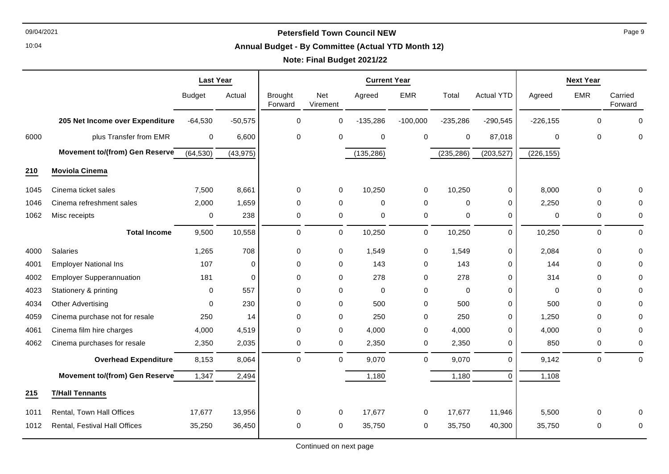10:04

#### **Annual Budget - By Committee (Actual YTD Month 12)**

# **Note: Final Budget 2021/22**

|      |                                       | <b>Last Year</b> |           | <b>Current Year</b>       |                        |             |             |             |                   |             | <b>Next Year</b> |                    |
|------|---------------------------------------|------------------|-----------|---------------------------|------------------------|-------------|-------------|-------------|-------------------|-------------|------------------|--------------------|
|      |                                       | <b>Budget</b>    | Actual    | <b>Brought</b><br>Forward | <b>Net</b><br>Virement | Agreed      | <b>EMR</b>  | Total       | <b>Actual YTD</b> | Agreed      | <b>EMR</b>       | Carried<br>Forward |
|      | 205 Net Income over Expenditure       | $-64,530$        | $-50,575$ | $\pmb{0}$                 | 0                      | $-135,286$  | $-100,000$  | $-235,286$  | $-290,545$        | $-226, 155$ | $\mathbf 0$      | $\Omega$           |
| 6000 | plus Transfer from EMR                | $\mathbf 0$      | 6,600     | $\pmb{0}$                 | $\mathbf 0$            | 0           | $\mathbf 0$ | $\pmb{0}$   | 87,018            | 0           | $\mathbf 0$      | 0                  |
|      | Movement to/(from) Gen Reserve        | (64, 530)        | (43, 975) |                           |                        | (135, 286)  |             | (235, 286)  | (203, 527)        | (226, 155)  |                  |                    |
| 210  | <b>Moviola Cinema</b>                 |                  |           |                           |                        |             |             |             |                   |             |                  |                    |
| 1045 | Cinema ticket sales                   | 7,500            | 8,661     | $\pmb{0}$                 | $\mathbf 0$            | 10,250      | 0           | 10,250      | 0                 | 8,000       | 0                |                    |
| 1046 | Cinema refreshment sales              | 2,000            | 1,659     | $\mathbf 0$               | $\mathbf 0$            | $\mathbf 0$ | 0           | 0           | 0                 | 2,250       | 0                |                    |
| 1062 | Misc receipts                         | 0                | 238       | $\mathbf 0$               | $\mathbf 0$            | $\mathbf 0$ | $\mathbf 0$ | $\mathbf 0$ | 0                 | $\mathbf 0$ | 0                | $\mathbf 0$        |
|      | <b>Total Income</b>                   | 9,500            | 10,558    | $\mathbf 0$               | $\mathbf 0$            | 10,250      | $\mathbf 0$ | 10,250      | $\mathbf 0$       | 10,250      | 0                | $\Omega$           |
| 4000 | Salaries                              | 1,265            | 708       | $\pmb{0}$                 | $\mathbf 0$            | 1,549       | $\mathbf 0$ | 1,549       | $\pmb{0}$         | 2,084       | 0                | $\Omega$           |
| 4001 | <b>Employer National Ins</b>          | 107              | $\Omega$  | $\mathbf 0$               | 0                      | 143         | $\Omega$    | 143         | $\Omega$          | 144         | $\mathbf 0$      | $\Omega$           |
| 4002 | <b>Employer Supperannuation</b>       | 181              | $\Omega$  | $\mathbf 0$               | 0                      | 278         | 0           | 278         | $\Omega$          | 314         | $\mathbf 0$      | 0                  |
| 4023 | Stationery & printing                 | 0                | 557       | $\mathbf 0$               | 0                      | 0           | 0           | 0           | $\Omega$          | 0           | 0                | O                  |
| 4034 | Other Advertising                     | $\Omega$         | 230       | $\mathbf 0$               | $\Omega$               | 500         | 0           | 500         | 0                 | 500         | $\mathbf 0$      | 0                  |
| 4059 | Cinema purchase not for resale        | 250              | 14        | $\Omega$                  | $\mathbf 0$            | 250         | 0           | 250         | $\Omega$          | 1,250       | $\Omega$         | 0                  |
| 4061 | Cinema film hire charges              | 4,000            | 4,519     | $\mathbf 0$               | $\mathbf 0$            | 4,000       | 0           | 4,000       | 0                 | 4,000       | $\mathbf 0$      |                    |
| 4062 | Cinema purchases for resale           | 2,350            | 2,035     | 0                         | $\mathbf 0$            | 2,350       | 0           | 2,350       | 0                 | 850         | 0                | 0                  |
|      | <b>Overhead Expenditure</b>           | 8,153            | 8,064     | $\mathbf 0$               | $\mathbf 0$            | 9,070       | $\mathbf 0$ | 9,070       | $\Omega$          | 9,142       | 0                | $\Omega$           |
|      | <b>Movement to/(from) Gen Reserve</b> | 1,347            | 2,494     |                           |                        | 1,180       |             | 1,180       | $\Omega$          | 1,108       |                  |                    |
| 215  | <b>T/Hall Tennants</b>                |                  |           |                           |                        |             |             |             |                   |             |                  |                    |
| 1011 | Rental, Town Hall Offices             | 17,677           | 13,956    | $\mathbf 0$               | $\mathbf 0$            | 17,677      | $\mathbf 0$ | 17,677      | 11,946            | 5,500       | 0                |                    |
| 1012 | Rental, Festival Hall Offices         | 35,250           | 36,450    | 0                         | $\mathbf 0$            | 35,750      | $\mathbf 0$ | 35,750      | 40,300            | 35,750      | 0                | $\Omega$           |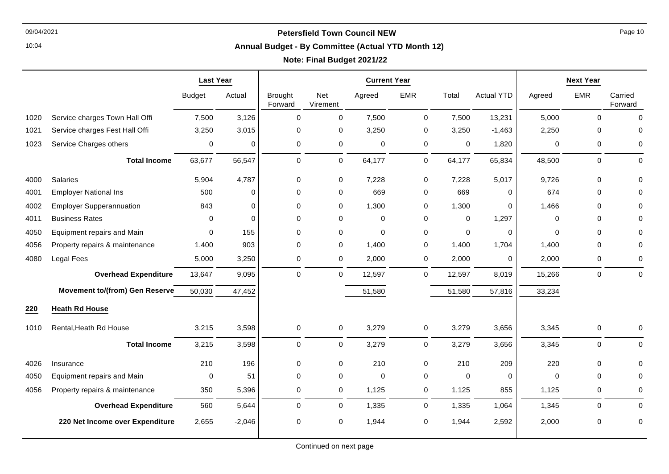10:04

#### **Annual Budget - By Committee (Actual YTD Month 12)**

# **Note: Final Budget 2021/22**

|      |                                       | <b>Last Year</b> |             | <b>Current Year</b>       |                 |             |             |          |                   |          | <b>Next Year</b> |                    |
|------|---------------------------------------|------------------|-------------|---------------------------|-----------------|-------------|-------------|----------|-------------------|----------|------------------|--------------------|
|      |                                       | <b>Budget</b>    | Actual      | <b>Brought</b><br>Forward | Net<br>Virement | Agreed      | <b>EMR</b>  | Total    | <b>Actual YTD</b> | Agreed   | <b>EMR</b>       | Carried<br>Forward |
| 1020 | Service charges Town Hall Offi        | 7,500            | 3,126       | $\Omega$                  | $\mathbf 0$     | 7,500       | $\mathbf 0$ | 7,500    | 13,231            | 5,000    | $\mathbf 0$      | $\Omega$           |
| 1021 | Service charges Fest Hall Offi        | 3,250            | 3,015       | 0                         | $\mathbf 0$     | 3,250       | 0           | 3,250    | $-1,463$          | 2,250    | $\mathbf 0$      | $\Omega$           |
| 1023 | Service Charges others                | 0                | 0           | 0                         | $\pmb{0}$       | 0           | $\mathbf 0$ | 0        | 1,820             | 0        | 0                | 0                  |
|      | <b>Total Income</b>                   | 63,677           | 56,547      | 0                         | $\mathbf 0$     | 64,177      | $\mathbf 0$ | 64,177   | 65,834            | 48,500   | $\mathsf 0$      | $\Omega$           |
| 4000 | Salaries                              | 5,904            | 4,787       | 0                         | 0               | 7,228       | 0           | 7,228    | 5,017             | 9,726    | $\mathsf 0$      |                    |
| 4001 | <b>Employer National Ins</b>          | 500              | $\Omega$    | $\Omega$                  | $\mathbf 0$     | 669         | $\mathbf 0$ | 669      | $\Omega$          | 674      | $\mathbf 0$      | 0                  |
| 4002 | <b>Employer Supperannuation</b>       | 843              | $\Omega$    | 0                         | 0               | 1,300       | 0           | 1,300    | $\Omega$          | 1,466    | $\mathbf 0$      |                    |
| 4011 | <b>Business Rates</b>                 | 0                | $\mathbf 0$ | $\mathbf 0$               | $\mathbf 0$     | 0           | 0           | 0        | 1,297             | 0        | 0                |                    |
| 4050 | Equipment repairs and Main            | $\Omega$         | 155         | $\Omega$                  | $\mathbf 0$     | 0           | 0           | $\Omega$ | $\Omega$          | $\Omega$ | $\Omega$         |                    |
| 4056 | Property repairs & maintenance        | 1,400            | 903         | $\Omega$                  | 0               | 1,400       | $\mathbf 0$ | 1,400    | 1,704             | 1,400    | $\mathbf 0$      | 0                  |
| 4080 | Legal Fees                            | 5,000            | 3,250       | 0                         | 0               | 2,000       | 0           | 2,000    | 0                 | 2,000    | 0                | 0                  |
|      | <b>Overhead Expenditure</b>           | 13,647           | 9,095       | 0                         | $\mathbf 0$     | 12,597      | $\mathbf 0$ | 12,597   | 8,019             | 15,266   | $\mathsf 0$      | $\mathbf 0$        |
|      | <b>Movement to/(from) Gen Reserve</b> | 50,030           | 47,452      |                           |                 | 51,580      |             | 51,580   | 57,816            | 33,234   |                  |                    |
| 220  | <b>Heath Rd House</b>                 |                  |             |                           |                 |             |             |          |                   |          |                  |                    |
| 1010 | Rental, Heath Rd House                | 3,215            | 3,598       | 0                         | $\mathbf 0$     | 3,279       | $\mathsf 0$ | 3,279    | 3,656             | 3,345    | $\pmb{0}$        | $\mathbf 0$        |
|      | <b>Total Income</b>                   | 3,215            | 3,598       | 0                         | $\mathbf 0$     | 3,279       | $\mathbf 0$ | 3,279    | 3,656             | 3,345    | $\pmb{0}$        | $\pmb{0}$          |
| 4026 | Insurance                             | 210              | 196         | 0                         | $\pmb{0}$       | 210         | $\mathbf 0$ | 210      | 209               | 220      | $\mathsf 0$      |                    |
| 4050 | Equipment repairs and Main            | $\mathbf 0$      | 51          | $\Omega$                  | $\mathbf 0$     | $\mathbf 0$ | $\mathbf 0$ | $\Omega$ | $\Omega$          | $\Omega$ | $\Omega$         | 0                  |
| 4056 | Property repairs & maintenance        | 350              | 5,396       | 0                         | $\mathbf 0$     | 1,125       | 0           | 1,125    | 855               | 1,125    | 0                | 0                  |
|      | <b>Overhead Expenditure</b>           | 560              | 5,644       | $\mathbf 0$               | 0               | 1,335       | $\mathbf 0$ | 1,335    | 1,064             | 1,345    | 0                | $\mathbf 0$        |
|      | 220 Net Income over Expenditure       | 2,655            | $-2,046$    | 0                         | 0               | 1,944       | 0           | 1,944    | 2,592             | 2,000    | 0                | 0                  |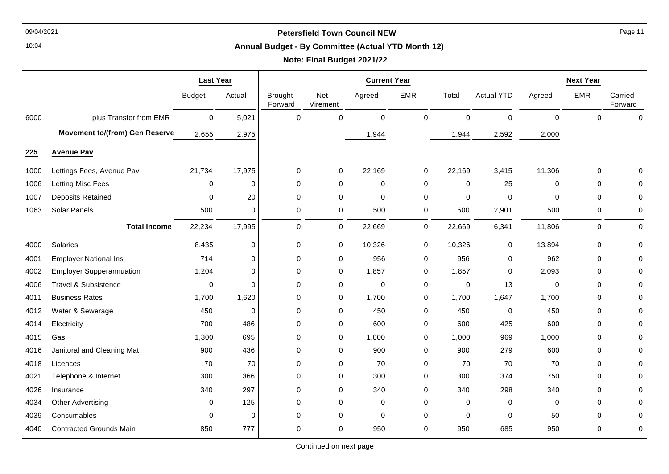10:04

#### **Annual Budget - By Committee (Actual YTD Month 12)**

# **Note: Final Budget 2021/22**

|      |                                 | <b>Last Year</b> |          | <b>Current Year</b>       |                 |             |             |          |                   |             | <b>Next Year</b> |                    |
|------|---------------------------------|------------------|----------|---------------------------|-----------------|-------------|-------------|----------|-------------------|-------------|------------------|--------------------|
|      |                                 | <b>Budget</b>    | Actual   | <b>Brought</b><br>Forward | Net<br>Virement | Agreed      | <b>EMR</b>  | Total    | <b>Actual YTD</b> | Agreed      | <b>EMR</b>       | Carried<br>Forward |
| 6000 | plus Transfer from EMR          | $\mathbf 0$      | 5,021    | $\Omega$                  | $\Omega$        | $\mathbf 0$ | $\mathbf 0$ | 0        | $\mathbf 0$       | $\mathbf 0$ | $\Omega$         | $\mathbf 0$        |
|      | Movement to/(from) Gen Reserve  | 2,655            | 2,975    |                           |                 | 1,944       |             | 1,944    | 2,592             | 2,000       |                  |                    |
| 225  | <b>Avenue Pav</b>               |                  |          |                           |                 |             |             |          |                   |             |                  |                    |
| 1000 | Lettings Fees, Avenue Pav       | 21,734           | 17,975   | 0                         | 0               | 22,169      | 0           | 22,169   | 3,415             | 11,306      | 0                | O                  |
| 1006 | Letting Misc Fees               | 0                | 0        | $\Omega$                  | $\mathbf 0$     | 0           | 0           | 0        | 25                | $\Omega$    | $\mathbf 0$      | O                  |
| 1007 | <b>Deposits Retained</b>        | 0                | 20       | $\Omega$                  | 0               | $\mathbf 0$ | 0           | 0        | 0                 | $\Omega$    | $\mathbf 0$      | 0                  |
| 1063 | Solar Panels                    | 500              | 0        | 0                         | 0               | 500         | 0           | 500      | 2,901             | 500         | 0                | 0                  |
|      | <b>Total Income</b>             | 22,234           | 17,995   | $\mathbf 0$               | 0               | 22,669      | 0           | 22,669   | 6,341             | 11,806      | 0                | 0                  |
| 4000 | Salaries                        | 8,435            | 0        | 0                         | 0               | 10,326      | 0           | 10,326   | 0                 | 13,894      | 0                | 0                  |
| 4001 | <b>Employer National Ins</b>    | 714              | 0        | 0                         | 0               | 956         | 0           | 956      | 0                 | 962         | 0                | 0                  |
| 4002 | <b>Employer Supperannuation</b> | 1,204            | 0        | $\mathbf 0$               | 0               | 1,857       | 0           | 1,857    | 0                 | 2,093       | 0                | 0                  |
| 4006 | <b>Travel &amp; Subsistence</b> | 0                | $\Omega$ | $\Omega$                  | 0               | $\mathbf 0$ | 0           | 0        | 13                | $\mathbf 0$ | $\mathbf 0$      | 0                  |
| 4011 | <b>Business Rates</b>           | 1,700            | 1,620    | 0                         | 0               | 1,700       | 0           | 1,700    | 1,647             | 1,700       | $\mathbf 0$      | 0                  |
| 4012 | Water & Sewerage                | 450              | 0        | 0                         | 0               | 450         | 0           | 450      | 0                 | 450         | 0                | O                  |
| 4014 | Electricity                     | 700              | 486      | $\mathbf 0$               | 0               | 600         | 0           | 600      | 425               | 600         | 0                | 0                  |
| 4015 | Gas                             | 1,300            | 695      | 0                         | 0               | 1,000       | 0           | 1,000    | 969               | 1,000       | 0                | 0                  |
| 4016 | Janitoral and Cleaning Mat      | 900              | 436      | $\mathbf 0$               | 0               | 900         | 0           | 900      | 279               | 600         | $\mathbf 0$      | 0                  |
| 4018 | Licences                        | 70               | 70       | $\mathbf 0$               | $\mathbf 0$     | 70          | 0           | 70       | 70                | 70          | $\mathbf 0$      | 0                  |
| 4021 | Telephone & Internet            | 300              | 366      | 0                         | 0               | 300         | 0           | 300      | 374               | 750         | 0                | 0                  |
| 4026 | Insurance                       | 340              | 297      | $\mathbf 0$               | 0               | 340         | 0           | 340      | 298               | 340         | 0                | 0                  |
| 4034 | <b>Other Advertising</b>        | 0                | 125      | $\mathbf 0$               | 0               | 0           | 0           | 0        | 0                 | 0           | 0                | 0                  |
| 4039 | Consumables                     | 0                | 0        | 0                         | 0               | $\mathbf 0$ | 0           | $\Omega$ | 0                 | 50          | 0                | 0                  |
| 4040 | <b>Contracted Grounds Main</b>  | 850              | 777      | 0                         | 0               | 950         | 0           | 950      | 685               | 950         | $\mathbf 0$      | 0                  |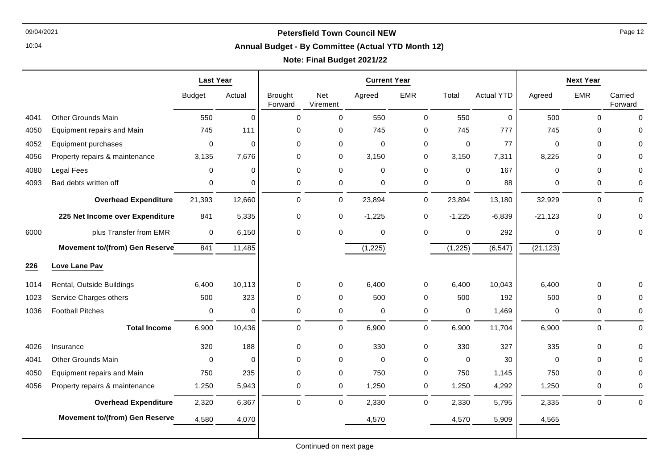10:04

# **Annual Budget - By Committee (Actual YTD Month 12)**

## **Note: Final Budget 2021/22**

|      |                                 | <b>Last Year</b> |             | <b>Current Year</b>       |                 |             |             |             |                   |             | <b>Next Year</b> |                    |
|------|---------------------------------|------------------|-------------|---------------------------|-----------------|-------------|-------------|-------------|-------------------|-------------|------------------|--------------------|
|      |                                 | <b>Budget</b>    | Actual      | <b>Brought</b><br>Forward | Net<br>Virement | Agreed      | <b>EMR</b>  | Total       | <b>Actual YTD</b> | Agreed      | <b>EMR</b>       | Carried<br>Forward |
| 4041 | <b>Other Grounds Main</b>       | 550              | $\Omega$    | $\Omega$                  | $\mathbf 0$     | 550         | $\mathbf 0$ | 550         | $\mathbf 0$       | 500         | $\mathbf 0$      | $\Omega$           |
| 4050 | Equipment repairs and Main      | 745              | 111         | 0                         | 0               | 745         | 0           | 745         | 777               | 745         | 0                | $\Omega$           |
| 4052 | Equipment purchases             | 0                | $\mathbf 0$ | $\mathbf 0$               | $\mathbf 0$     | 0           | 0           | 0           | 77                | 0           | $\mathbf 0$      | 0                  |
| 4056 | Property repairs & maintenance  | 3,135            | 7,676       | 0                         | $\mathbf 0$     | 3,150       | 0           | 3,150       | 7,311             | 8,225       | 0                |                    |
| 4080 | Legal Fees                      | 0                | $\mathbf 0$ | $\mathbf 0$               | $\mathbf 0$     | $\mathbf 0$ | $\mathbf 0$ | 0           | 167               | $\mathbf 0$ | 0                |                    |
| 4093 | Bad debts written off           | 0                | $\mathbf 0$ | $\mathbf 0$               | $\pmb{0}$       | 0           | $\mathbf 0$ | 0           | 88                | 0           | 0                | 0                  |
|      | <b>Overhead Expenditure</b>     | 21,393           | 12,660      | $\pmb{0}$                 | $\mathbf 0$     | 23,894      | $\mathbf 0$ | 23,894      | 13,180            | 32,929      | $\mathsf 0$      | $\mathbf 0$        |
|      | 225 Net Income over Expenditure | 841              | 5,335       | $\pmb{0}$                 | 0               | $-1,225$    | $\mathbf 0$ | $-1,225$    | $-6,839$          | $-21,123$   | 0                | 0                  |
| 6000 | plus Transfer from EMR          | $\mathbf 0$      | 6,150       | $\mathbf 0$               | $\mathbf 0$     | 0           | $\mathbf 0$ | 0           | 292               | $\Omega$    | $\mathbf 0$      | $\Omega$           |
|      | Movement to/(from) Gen Reserve  | 841              | 11,485      |                           |                 | (1, 225)    |             | (1,225)     | (6, 547)          | (21, 123)   |                  |                    |
| 226  | Love Lane Pav                   |                  |             |                           |                 |             |             |             |                   |             |                  |                    |
| 1014 | Rental, Outside Buildings       | 6,400            | 10,113      | 0                         | $\mathbf 0$     | 6,400       | $\mathbf 0$ | 6,400       | 10,043            | 6,400       | $\mathbf 0$      | $\Omega$           |
| 1023 | Service Charges others          | 500              | 323         | $\mathbf 0$               | $\mathbf 0$     | 500         | $\mathbf 0$ | 500         | 192               | 500         | $\mathbf 0$      | O                  |
| 1036 | <b>Football Pitches</b>         | 0                | $\mathbf 0$ | $\mathbf 0$               | $\mathsf 0$     | 0           | $\pmb{0}$   | $\mathbf 0$ | 1,469             | 0           | $\pmb{0}$        | 0                  |
|      | <b>Total Income</b>             | 6,900            | 10,436      | $\mathbf 0$               | $\mathbf 0$     | 6,900       | $\mathbf 0$ | 6,900       | 11,704            | 6,900       | 0                | $\mathbf 0$        |
| 4026 | Insurance                       | 320              | 188         | $\mathbf 0$               | $\mathbf 0$     | 330         | $\mathbf 0$ | 330         | 327               | 335         | $\mathbf 0$      |                    |
| 4041 | <b>Other Grounds Main</b>       | $\mathbf 0$      | $\Omega$    | $\mathbf 0$               | $\mathbf 0$     | $\mathbf 0$ | $\mathbf 0$ | $\mathbf 0$ | 30                | $\mathbf 0$ | $\mathbf 0$      | $\Omega$           |
| 4050 | Equipment repairs and Main      | 750              | 235         | $\Omega$                  | $\mathbf 0$     | 750         | $\mathbf 0$ | 750         | 1,145             | 750         | $\Omega$         | $\Omega$           |
| 4056 | Property repairs & maintenance  | 1,250            | 5,943       | 0                         | 0               | 1,250       | 0           | 1,250       | 4,292             | 1,250       | 0                | 0                  |
|      | <b>Overhead Expenditure</b>     | 2,320            | 6,367       | $\mathbf 0$               | $\mathbf 0$     | 2,330       | $\mathbf 0$ | 2,330       | 5,795             | 2,335       | $\pmb{0}$        | $\mathbf 0$        |
|      | Movement to/(from) Gen Reserve  | 4,580            | 4,070       |                           |                 | 4,570       |             | 4,570       | 5,909             | 4,565       |                  |                    |
|      |                                 |                  |             |                           |                 |             |             |             |                   |             |                  |                    |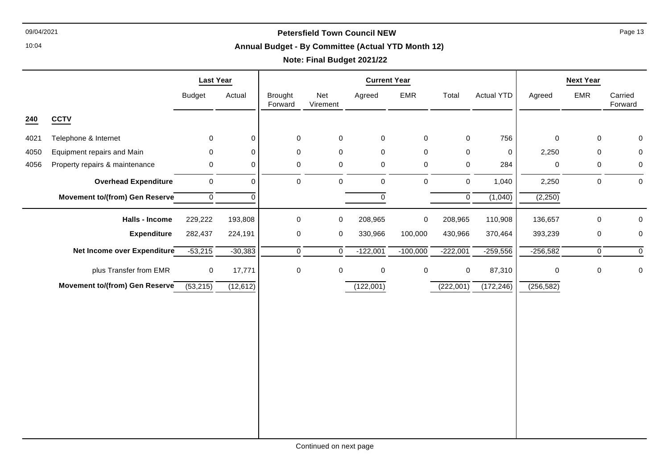10:04

#### **Annual Budget - By Committee (Actual YTD Month 12)**

|                                |               |                                                               | <b>Current Year</b> |                 |            |             |            | <b>Next Year</b>  |                                                                                        |     |                                                                                                     |
|--------------------------------|---------------|---------------------------------------------------------------|---------------------|-----------------|------------|-------------|------------|-------------------|----------------------------------------------------------------------------------------|-----|-----------------------------------------------------------------------------------------------------|
|                                | <b>Budget</b> | Actual                                                        | Brought<br>Forward  | Net<br>Virement | Agreed     | EMR         | Total      | <b>Actual YTD</b> | Agreed                                                                                 | EMR | Carried<br>Forward                                                                                  |
| <b>CCTV</b>                    |               |                                                               |                     |                 |            |             |            |                   |                                                                                        |     |                                                                                                     |
| Telephone & Internet           | 0             | $\mathbf 0$                                                   | 0                   | 0               | 0          | $\mathbf 0$ |            | 756               | $\mathbf 0$                                                                            |     | 0                                                                                                   |
| Equipment repairs and Main     | $\mathbf 0$   | $\Omega$                                                      | 0                   | 0               | $\pmb{0}$  | $\mathbf 0$ |            | $\mathbf 0$       | 2,250                                                                                  |     | $\mathbf 0$                                                                                         |
| Property repairs & maintenance | 0             | $\mathbf 0$                                                   | $\pmb{0}$           | 0               | $\pmb{0}$  | $\mathbf 0$ |            | 284               | 0                                                                                      |     | $\boldsymbol{0}$                                                                                    |
| <b>Overhead Expenditure</b>    | $\mathbf 0$   | $\mathbf 0$                                                   | 0                   | 0               | 0          | $\mathbf 0$ |            | 1,040             | 2,250                                                                                  |     | $\mathbf 0$                                                                                         |
| Movement to/(from) Gen Reserve | $\mathbf 0$   | $\mathbf 0$                                                   |                     |                 | $\pmb{0}$  |             |            | (1,040)           | (2,250)                                                                                |     |                                                                                                     |
| <b>Halls - Income</b>          | 229,222       | 193,808                                                       | 0                   | 0               | 208,965    | $\pmb{0}$   | 208,965    | 110,908           | 136,657                                                                                |     | 0                                                                                                   |
| <b>Expenditure</b>             | 282,437       | 224,191                                                       | $\pmb{0}$           | 0               | 330,966    | 100,000     | 430,966    | 370,464           | 393,239                                                                                |     | $\pmb{0}$                                                                                           |
|                                | $-53,215$     | $-30,383$                                                     | $\overline{0}$      | $\overline{0}$  | $-122,001$ | $-100,000$  | $-222,001$ | $-259,556$        | $-256,582$                                                                             |     | $\mathbf 0$                                                                                         |
| plus Transfer from EMR         | $\pmb{0}$     | 17,771                                                        | 0                   | 0               | $\pmb{0}$  | $\pmb{0}$   |            | 87,310            | $\mathbf 0$                                                                            |     | $\boldsymbol{0}$                                                                                    |
|                                | (53,215)      | (12, 612)                                                     |                     |                 | (122,001)  |             | (222,001)  | (172, 246)        | (256, 582)                                                                             |     |                                                                                                     |
|                                |               |                                                               |                     |                 |            |             |            |                   |                                                                                        |     |                                                                                                     |
|                                |               |                                                               |                     |                 |            |             |            |                   |                                                                                        |     |                                                                                                     |
|                                |               |                                                               |                     |                 |            |             |            |                   |                                                                                        |     |                                                                                                     |
|                                |               | Net Income over Expenditure<br>Movement to/(from) Gen Reserve |                     |                 |            |             |            |                   | $\mathbf 0$<br>$\mathbf 0$<br>$\mathbf 0$<br>$\mathbf 0$<br>$\mathbf 0$<br>$\mathbf 0$ |     | 0<br>$\mathbf 0$<br>$\mathbf 0$<br>0<br>$\mathbf 0$<br>$\mathbf 0$<br>$\overline{0}$<br>$\mathsf 0$ |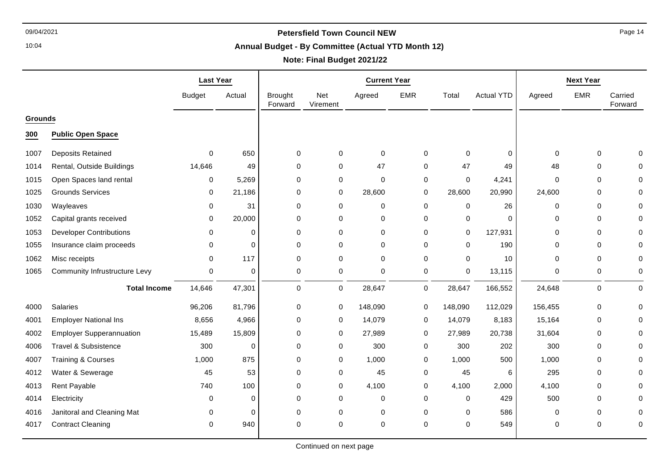10:04

#### **Annual Budget - By Committee (Actual YTD Month 12)**

# **Note: Final Budget 2021/22**

|                |                                 | <b>Last Year</b> |          | <b>Current Year</b>       |                 |             |             |             |                   | <b>Next Year</b> |             |                    |
|----------------|---------------------------------|------------------|----------|---------------------------|-----------------|-------------|-------------|-------------|-------------------|------------------|-------------|--------------------|
|                |                                 | <b>Budget</b>    | Actual   | <b>Brought</b><br>Forward | Net<br>Virement | Agreed      | <b>EMR</b>  | Total       | <b>Actual YTD</b> | Agreed           | <b>EMR</b>  | Carried<br>Forward |
| <b>Grounds</b> |                                 |                  |          |                           |                 |             |             |             |                   |                  |             |                    |
| 300            | <b>Public Open Space</b>        |                  |          |                           |                 |             |             |             |                   |                  |             |                    |
| 1007           | Deposits Retained               | $\Omega$         | 650      | $\mathbf 0$               | $\mathbf 0$     | 0           | $\Omega$    | $\mathbf 0$ | $\Omega$          | $\Omega$         | $\Omega$    |                    |
| 1014           | Rental, Outside Buildings       | 14,646           | 49       | $\mathbf 0$               | $\mathbf 0$     | 47          | $\Omega$    | 47          | 49                | 48               | $\Omega$    |                    |
| 1015           | Open Spaces land rental         | 0                | 5,269    | $\mathbf 0$               | 0               | $\mathbf 0$ | 0           | $\mathbf 0$ | 4,241             | $\Omega$         | $\Omega$    |                    |
| 1025           | <b>Grounds Services</b>         | 0                | 21,186   | $\mathbf 0$               | 0               | 28,600      | 0           | 28,600      | 20,990            | 24,600           | 0           |                    |
| 1030           | Wayleaves                       | $\mathbf{0}$     | 31       | $\mathbf 0$               | 0               | 0           | 0           | $\Omega$    | 26                | 0                | $\Omega$    |                    |
| 1052           | Capital grants received         | 0                | 20,000   | $\mathbf 0$               | 0               | 0           | 0           | 0           | $\Omega$          | 0                | 0           |                    |
| 1053           | <b>Developer Contributions</b>  | 0                | $\Omega$ | $\mathbf 0$               | $\mathbf 0$     | 0           | 0           | $\mathbf 0$ | 127,931           | 0                | $\mathbf 0$ |                    |
| 1055           | Insurance claim proceeds        | $\Omega$         | $\Omega$ | $\mathbf 0$               | 0               | $\mathbf 0$ | 0           | $\Omega$    | 190               | 0                | $\Omega$    |                    |
| 1062           | Misc receipts                   | $\Omega$         | 117      | $\mathbf 0$               | 0               | $\Omega$    | $\Omega$    | $\Omega$    | 10                | $\Omega$         | $\Omega$    |                    |
| 1065           | Community Infrustructure Levy   | 0                | $\Omega$ | 0                         | 0               | $\mathbf 0$ | $\mathbf 0$ | $\mathbf 0$ | 13,115            | 0                | 0           |                    |
|                | <b>Total Income</b>             | 14,646           | 47,301   | 0                         | 0               | 28,647      | $\mathbf 0$ | 28,647      | 166,552           | 24,648           | 0           | $\Omega$           |
| 4000           | Salaries                        | 96,206           | 81,796   | $\mathbf 0$               | 0               | 148,090     | 0           | 148,090     | 112,029           | 156,455          | $\mathbf 0$ |                    |
| 4001           | <b>Employer National Ins</b>    | 8,656            | 4,966    | $\mathbf 0$               | 0               | 14,079      | 0           | 14,079      | 8,183             | 15,164           | 0           |                    |
| 4002           | <b>Employer Supperannuation</b> | 15,489           | 15,809   | $\mathbf 0$               | 0               | 27,989      | $\mathbf 0$ | 27,989      | 20,738            | 31,604           | $\mathbf 0$ |                    |
| 4006           | <b>Travel &amp; Subsistence</b> | 300              | $\Omega$ | $\mathbf 0$               | $\mathbf 0$     | 300         | 0           | 300         | 202               | 300              | $\Omega$    |                    |
| 4007           | <b>Training &amp; Courses</b>   | 1,000            | 875      | $\mathbf 0$               | 0               | 1,000       | 0           | 1,000       | 500               | 1,000            | $\Omega$    |                    |
| 4012           | Water & Sewerage                | 45               | 53       | $\mathbf 0$               | 0               | 45          | 0           | 45          | 6                 | 295              | $\Omega$    |                    |
| 4013           | Rent Payable                    | 740              | 100      | $\mathbf 0$               | $\mathbf 0$     | 4,100       | 0           | 4,100       | 2,000             | 4,100            | $\mathbf 0$ |                    |
| 4014           | Electricity                     | 0                | $\Omega$ | $\mathbf 0$               | 0               | 0           | 0           | 0           | 429               | 500              | $\mathbf 0$ |                    |
| 4016           | Janitoral and Cleaning Mat      | $\Omega$         | $\Omega$ | $\mathbf 0$               | 0               | 0           | 0           | $\Omega$    | 586               | $\Omega$         | $\Omega$    |                    |
| 4017           | <b>Contract Cleaning</b>        | $\Omega$         | 940      | $\Omega$                  | $\Omega$        | $\mathbf 0$ | 0           | $\Omega$    | 549               | 0                | $\Omega$    |                    |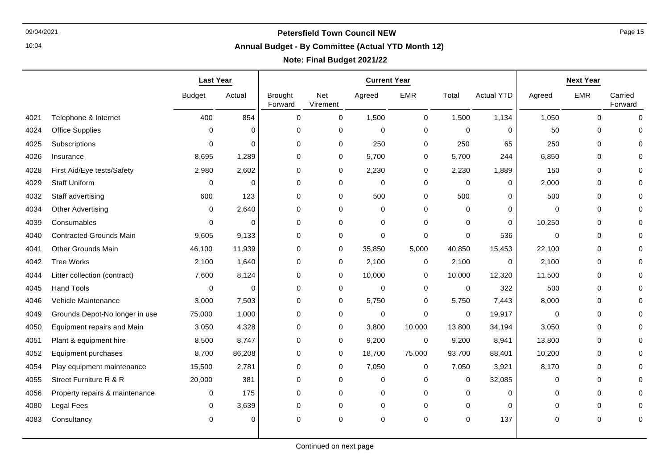10:04

# **Annual Budget - By Committee (Actual YTD Month 12)**

|      |                                   | <b>Last Year</b> |             | <b>Current Year</b>       |                 |          |              |             |                   | <b>Next Year</b> |            |                    |
|------|-----------------------------------|------------------|-------------|---------------------------|-----------------|----------|--------------|-------------|-------------------|------------------|------------|--------------------|
|      |                                   | <b>Budget</b>    | Actual      | <b>Brought</b><br>Forward | Net<br>Virement | Agreed   | <b>EMR</b>   | Total       | <b>Actual YTD</b> | Agreed           | <b>EMR</b> | Carried<br>Forward |
| 4021 | Telephone & Internet              | 400              | 854         | $\mathbf 0$               | $\mathbf 0$     | 1,500    | $\mathbf 0$  | 1,500       | 1,134             | 1,050            | 0          | $\Omega$           |
| 4024 | <b>Office Supplies</b>            | $\Omega$         | $\Omega$    | $\mathbf 0$               | 0               | 0        | $\mathbf 0$  | $\mathbf 0$ | $\Omega$          | 50               | 0          |                    |
| 4025 | Subscriptions                     | $\Omega$         | $\Omega$    | $\mathbf 0$               | 0               | 250      | 0            | 250         | 65                | 250              | 0          |                    |
| 4026 | Insurance                         | 8,695            | 1,289       | $\pmb{0}$                 | 0               | 5,700    | 0            | 5,700       | 244               | 6,850            | 0          |                    |
| 4028 | First Aid/Eye tests/Safety        | 2,980            | 2,602       | $\mathbf 0$               | 0               | 2,230    | 0            | 2,230       | 1,889             | 150              | 0          |                    |
| 4029 | <b>Staff Uniform</b>              | 0                | $\mathbf 0$ | 0                         | 0               | 0        | 0            | 0           | $\Omega$          | 2,000            | 0          |                    |
| 4032 | Staff advertising                 | 600              | 123         | $\mathbf 0$               | $\mathbf 0$     | 500      | $\mathbf 0$  | 500         | $\Omega$          | 500              | 0          |                    |
| 4034 | Other Advertising                 | $\Omega$         | 2,640       | $\mathbf 0$               | 0               | 0        | $\mathbf 0$  | $\Omega$    | $\Omega$          | 0                | 0          |                    |
| 4039 | Consumables                       | $\Omega$         | $\mathbf 0$ | 0                         | $\mathbf 0$     | 0        | 0            | 0           | 0                 | 10,250           | 0          |                    |
| 4040 | <b>Contracted Grounds Main</b>    | 9.605            | 9,133       | $\Omega$                  | $\mathbf 0$     | $\Omega$ | $\mathbf 0$  | $\Omega$    | 536               | $\Omega$         | 0          |                    |
| 4041 | Other Grounds Main                | 46,100           | 11,939      | 0                         | 0               | 35,850   | 5,000        | 40,850      | 15,453            | 22,100           | 0          |                    |
| 4042 | Tree Works                        | 2,100            | 1,640       | $\mathbf 0$               | 0               | 2,100    | 0            | 2,100       | $\Omega$          | 2,100            | 0          |                    |
| 4044 | Litter collection (contract)      | 7,600            | 8,124       | $\mathbf 0$               | 0               | 10,000   | 0            | 10,000      | 12,320            | 11,500           | $\Omega$   |                    |
| 4045 | <b>Hand Tools</b>                 | $\Omega$         | $\Omega$    | $\mathbf 0$               | $\mathbf 0$     | 0        | $\mathbf 0$  | $\mathbf 0$ | 322               | 500              | 0          |                    |
| 4046 | Vehicle Maintenance               | 3,000            | 7,503       | 0                         | 0               | 5,750    | 0            | 5,750       | 7,443             | 8,000            | 0          |                    |
| 4049 | Grounds Depot-No longer in use    | 75,000           | 1,000       | 0                         | 0               | 0        | $\mathbf 0$  | 0           | 19,917            | $\mathbf 0$      | 0          |                    |
| 4050 | <b>Equipment repairs and Main</b> | 3,050            | 4,328       | $\mathbf 0$               | 0               | 3,800    | 10,000       | 13,800      | 34,194            | 3,050            | 0          |                    |
| 4051 | Plant & equipment hire            | 8,500            | 8,747       | $\mathbf 0$               | 0               | 9,200    | $\mathbf 0$  | 9,200       | 8,941             | 13,800           | 0          |                    |
| 4052 | Equipment purchases               | 8,700            | 86,208      | $\,0\,$                   | 0               | 18,700   | 75,000       | 93,700      | 88,401            | 10,200           | 0          |                    |
| 4054 | Play equipment maintenance        | 15,500           | 2,781       | $\mathbf 0$               | 0               | 7,050    | 0            | 7,050       | 3,921             | 8,170            | 0          |                    |
| 4055 | Street Furniture R & R            | 20,000           | 381         | 0                         | 0               | 0        | $\mathbf{0}$ | $\Omega$    | 32,085            | 0                | 0          |                    |
| 4056 | Property repairs & maintenance    | 0                | 175         | 0                         | $\Omega$        | 0        | 0            | $\Omega$    | 0                 | 0                | 0          |                    |
| 4080 | Legal Fees                        | $\Omega$         | 3,639       | 0                         | $\mathbf 0$     | 0        | 0            | $\mathbf 0$ | 0                 | 0                | 0          |                    |
| 4083 | Consultancy                       | $\Omega$         | $\Omega$    | 0                         | 0               | 0        | 0            | $\mathbf 0$ | 137               | 0                | 0          | $\Omega$           |
|      |                                   |                  |             |                           |                 |          |              |             |                   |                  |            |                    |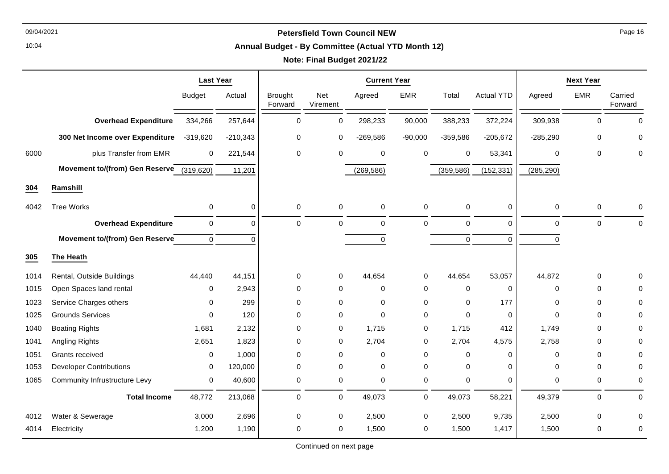#### **Annual Budget - By Committee (Actual YTD Month 12)**

# **Note: Final Budget 2021/22**

|      |                                                       | <b>Last Year</b> |             | <b>Current Year</b>       |                 |             |             |             |                   | <b>Next Year</b> |             |                    |
|------|-------------------------------------------------------|------------------|-------------|---------------------------|-----------------|-------------|-------------|-------------|-------------------|------------------|-------------|--------------------|
|      |                                                       | <b>Budget</b>    | Actual      | <b>Brought</b><br>Forward | Net<br>Virement | Agreed      | <b>EMR</b>  | Total       | <b>Actual YTD</b> | Agreed           | <b>EMR</b>  | Carried<br>Forward |
|      | <b>Overhead Expenditure</b>                           | 334,266          | 257,644     | $\mathbf 0$               | 0               | 298,233     | 90,000      | 388,233     | 372,224           | 309,938          | $\mathbf 0$ | $\Omega$           |
|      | 300 Net Income over Expenditure                       | $-319,620$       | $-210,343$  | $\mathbf 0$               | 0               | $-269,586$  | $-90,000$   | $-359,586$  | $-205,672$        | $-285,290$       | $\mathbf 0$ | 0                  |
| 6000 | plus Transfer from EMR                                | $\mathbf 0$      | 221,544     | $\pmb{0}$                 | 0               | 0           | 0           | 0           | 53,341            | $\mathbf 0$      | 0           | 0                  |
|      | Movement to/(from) Gen Reserve $\overline{(319,620)}$ |                  | 11,201      |                           |                 | (269, 586)  |             | (359, 586)  | (152, 331)        | (285, 290)       |             |                    |
| 304  | Ramshill                                              |                  |             |                           |                 |             |             |             |                   |                  |             |                    |
| 4042 | <b>Tree Works</b>                                     | 0                | $\mathbf 0$ | 0                         | $\pmb{0}$       | 0           | $\mathbf 0$ | 0           | $\mathbf 0$       | 0                | 0           | 0                  |
|      | <b>Overhead Expenditure</b>                           | $\mathbf 0$      | $\Omega$    | $\mathbf 0$               | $\mathbf 0$     | $\mathbf 0$ | $\mathbf 0$ | 0           | $\Omega$          | $\mathbf 0$      | 0           | $\Omega$           |
|      | Movement to/(from) Gen Reserve                        | $\mathbf 0$      | $\Omega$    |                           |                 | $\mathbf 0$ |             | 0           | $\Omega$          | 0                |             |                    |
| 305  | The Heath                                             |                  |             |                           |                 |             |             |             |                   |                  |             |                    |
| 1014 | Rental, Outside Buildings                             | 44,440           | 44,151      | $\mathbf 0$               | 0               | 44,654      | $\mathbf 0$ | 44,654      | 53,057            | 44,872           | 0           | U                  |
| 1015 | Open Spaces land rental                               | 0                | 2,943       | $\mathbf 0$               | $\mathbf 0$     | 0           | $\mathbf 0$ | $\mathbf 0$ | 0                 | $\mathbf 0$      | $\mathbf 0$ | O                  |
| 1023 | Service Charges others                                | $\Omega$         | 299         | $\mathbf 0$               | $\Omega$        | $\Omega$    | $\Omega$    | $\Omega$    | 177               | $\Omega$         | $\mathbf 0$ | O                  |
| 1025 | <b>Grounds Services</b>                               | $\Omega$         | 120         | $\mathbf 0$               | 0               | $\mathbf 0$ | 0           | 0           | 0                 | $\Omega$         | $\mathbf 0$ | 0                  |
| 1040 | <b>Boating Rights</b>                                 | 1,681            | 2,132       | $\mathbf 0$               | 0               | 1,715       | $\mathbf 0$ | 1,715       | 412               | 1,749            | $\mathbf 0$ | $\Omega$           |
| 1041 | Angling Rights                                        | 2,651            | 1,823       | $\Omega$                  | $\mathbf 0$     | 2,704       | 0           | 2,704       | 4,575             | 2,758            | $\mathbf 0$ | 0                  |
| 1051 | Grants received                                       | 0                | 1,000       | $\mathbf 0$               | $\mathbf 0$     | $\mathbf 0$ | 0           | 0           | $\Omega$          | $\Omega$         | 0           | O                  |
| 1053 | <b>Developer Contributions</b>                        | 0                | 120,000     | $\mathbf 0$               | 0               | 0           | 0           | 0           | 0                 | $\Omega$         | 0           | 0                  |
| 1065 | Community Infrustructure Levy                         | $\mathbf 0$      | 40,600      | 0                         | $\pmb{0}$       | 0           | $\mathbf 0$ | 0           | $\Omega$          | 0                | 0           | $\mathbf 0$        |
|      | <b>Total Income</b>                                   | 48,772           | 213,068     | $\Omega$                  | $\mathbf 0$     | 49,073      | $\mathbf 0$ | 49,073      | 58,221            | 49,379           | 0           | $\Omega$           |
| 4012 | Water & Sewerage                                      | 3,000            | 2,696       | $\mathbf 0$               | 0               | 2,500       | $\mathbf 0$ | 2,500       | 9,735             | 2,500            | 0           | 0                  |
| 4014 | Electricity                                           | 1,200            | 1,190       | $\mathbf 0$               | 0               | 1,500       | 0           | 1,500       | 1,417             | 1,500            | $\mathbf 0$ | $\mathbf 0$        |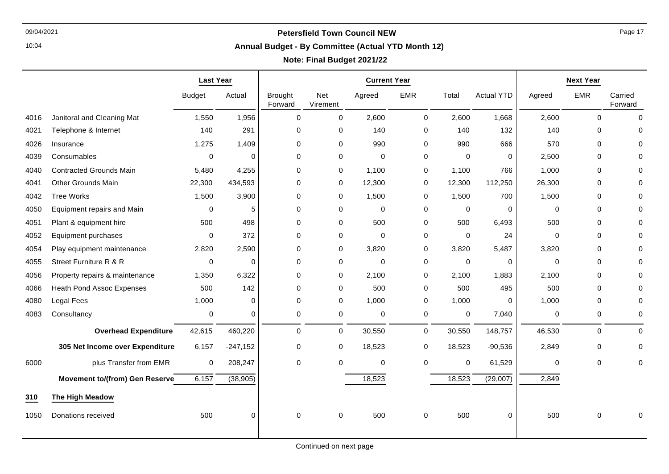10:04

#### **Annual Budget - By Committee (Actual YTD Month 12)**

## **Note: Final Budget 2021/22**

|      |                                       | <b>Last Year</b> |             |                           |                 | <b>Current Year</b> |              | <b>Next Year</b> |                   |             |             |                    |
|------|---------------------------------------|------------------|-------------|---------------------------|-----------------|---------------------|--------------|------------------|-------------------|-------------|-------------|--------------------|
|      |                                       | <b>Budget</b>    | Actual      | <b>Brought</b><br>Forward | Net<br>Virement | Agreed              | <b>EMR</b>   | Total            | <b>Actual YTD</b> | Agreed      | <b>EMR</b>  | Carried<br>Forward |
| 4016 | Janitoral and Cleaning Mat            | 1,550            | 1,956       | 0                         | $\pmb{0}$       | 2,600               | $\mathsf{O}$ | 2,600            | 1,668             | 2,600       | 0           | $\Omega$           |
| 4021 | Telephone & Internet                  | 140              | 291         | $\Omega$                  | $\mathbf 0$     | 140                 | 0            | 140              | 132               | 140         | $\Omega$    | 0                  |
| 4026 | Insurance                             | 1,275            | 1,409       | $\Omega$                  | $\mathbf 0$     | 990                 | 0            | 990              | 666               | 570         | $\Omega$    | $\Omega$           |
| 4039 | Consumables                           | 0                | 0           | 0                         | 0               | $\mathbf 0$         | 0            | $\mathbf 0$      | 0                 | 2,500       | $\mathbf 0$ | 0                  |
| 4040 | <b>Contracted Grounds Main</b>        | 5,480            | 4,255       | 0                         | $\mathbf 0$     | 1,100               | 0            | 1,100            | 766               | 1,000       | $\Omega$    | $\Omega$           |
| 4041 | <b>Other Grounds Main</b>             | 22,300           | 434,593     | 0                         | 0               | 12,300              | 0            | 12,300           | 112,250           | 26,300      | 0           | 0                  |
| 4042 | <b>Tree Works</b>                     | 1,500            | 3,900       | 0                         | $\mathbf 0$     | 1,500               | 0            | 1,500            | 700               | 1,500       | $\mathbf 0$ | $\Omega$           |
| 4050 | Equipment repairs and Main            | 0                | 5           | 0                         | $\pmb{0}$       | $\mathbf 0$         | 0            | $\pmb{0}$        | 0                 | $\Omega$    | $\mathbf 0$ | 0                  |
| 4051 | Plant & equipment hire                | 500              | 498         | 0                         | 0               | 500                 | 0            | 500              | 6,493             | 500         | $\mathbf 0$ | 0                  |
| 4052 | Equipment purchases                   | $\Omega$         | 372         | $\Omega$                  | $\mathbf 0$     | $\Omega$            | 0            | $\mathbf 0$      | 24                | $\Omega$    | $\Omega$    | $\Omega$           |
| 4054 | Play equipment maintenance            | 2,820            | 2,590       | 0                         | 0               | 3,820               | 0            | 3,820            | 5,487             | 3,820       | $\mathbf 0$ | $\Omega$           |
| 4055 | Street Furniture R & R                | 0                | 0           | 0                         | 0               | $\mathbf 0$         | 0            | 0                | 0                 | $\Omega$    | 0           | 0                  |
| 4056 | Property repairs & maintenance        | 1,350            | 6,322       | 0                         | 0               | 2,100               | 0            | 2,100            | 1,883             | 2,100       | 0           | 0                  |
| 4066 | <b>Heath Pond Assoc Expenses</b>      | 500              | 142         | 0                         | 0               | 500                 | 0            | 500              | 495               | 500         | 0           | $\Omega$           |
| 4080 | <b>Legal Fees</b>                     | 1,000            | 0           | 0                         | $\pmb{0}$       | 1,000               | 0            | 1,000            | 0                 | 1,000       | $\mathbf 0$ | 0                  |
| 4083 | Consultancy                           | 0                | $\mathbf 0$ | 0                         | $\pmb{0}$       | 0                   | $\mathbf 0$  | 0                | 7,040             | 0           | 0           | 0                  |
|      | <b>Overhead Expenditure</b>           | 42,615           | 460,220     | 0                         | 0               | 30,550              | $\mathbf 0$  | 30,550           | 148,757           | 46,530      | 0           | $\Omega$           |
|      | 305 Net Income over Expenditure       | 6,157            | $-247,152$  | 0                         | 0               | 18,523              | 0            | 18,523           | $-90,536$         | 2,849       | 0           | 0                  |
| 6000 | plus Transfer from EMR                | 0                | 208,247     | 0                         | $\mathbf 0$     | $\mathbf 0$         | 0            | 0                | 61,529            | $\mathbf 0$ | $\mathbf 0$ | 0                  |
|      | <b>Movement to/(from) Gen Reserve</b> | 6,157            | (38, 905)   |                           |                 | 18,523              |              | 18,523           | (29,007)          | 2,849       |             |                    |
| 310  | The High Meadow                       |                  |             |                           |                 |                     |              |                  |                   |             |             |                    |
| 1050 | Donations received                    | 500              | 0           | 0                         | 0               | 500                 | 0            | 500              | 0                 | 500         | 0           | 0                  |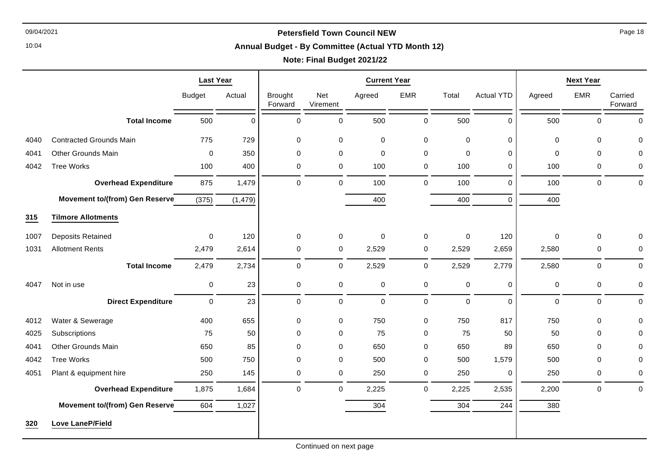10:04

#### **Annual Budget - By Committee (Actual YTD Month 12)**

## **Note: Final Budget 2021/22**

|      |                                       | <b>Last Year</b> |           | <b>Current Year</b>       |                 |             |             |             |                   | <b>Next Year</b> |             |                    |
|------|---------------------------------------|------------------|-----------|---------------------------|-----------------|-------------|-------------|-------------|-------------------|------------------|-------------|--------------------|
|      |                                       | <b>Budget</b>    | Actual    | <b>Brought</b><br>Forward | Net<br>Virement | Agreed      | <b>EMR</b>  | Total       | <b>Actual YTD</b> | Agreed           | <b>EMR</b>  | Carried<br>Forward |
|      | <b>Total Income</b>                   | 500              | $\pmb{0}$ | 0                         | 0               | 500         | $\pmb{0}$   | 500         | 0                 | 500              | 0           | $\mathbf 0$        |
| 4040 | <b>Contracted Grounds Main</b>        | 775              | 729       | 0                         | 0               | 0           | $\mathbf 0$ | $\mathbf 0$ | 0                 | $\mathbf 0$      | $\mathbf 0$ | 0                  |
| 4041 | <b>Other Grounds Main</b>             | 0                | 350       | 0                         | 0               | $\mathbf 0$ | $\mathbf 0$ | $\mathbf 0$ | 0                 | 0                | $\mathbf 0$ | 0                  |
| 4042 | <b>Tree Works</b>                     | 100              | 400       | 0                         | 0               | 100         | 0           | 100         | 0                 | 100              | $\mathbf 0$ | 0                  |
|      | <b>Overhead Expenditure</b>           | 875              | 1,479     | 0                         | 0               | 100         | $\mathbf 0$ | 100         | $\Omega$          | 100              | $\Omega$    | $\mathbf 0$        |
|      | <b>Movement to/(from) Gen Reserve</b> | (375)            | (1, 479)  |                           |                 | 400         |             | 400         | 0                 | 400              |             |                    |
| 315  | <b>Tilmore Allotments</b>             |                  |           |                           |                 |             |             |             |                   |                  |             |                    |
| 1007 | <b>Deposits Retained</b>              | $\mathsf 0$      | 120       | $\mathbf 0$               | 0               | $\pmb{0}$   | $\mathbf 0$ | $\pmb{0}$   | 120               | $\mathbf 0$      | 0           | $\mathbf 0$        |
| 1031 | <b>Allotment Rents</b>                | 2,479            | 2,614     | $\mathbf 0$               | 0               | 2,529       | $\mathbf 0$ | 2,529       | 2,659             | 2,580            | 0           | 0                  |
|      | <b>Total Income</b>                   | 2,479            | 2,734     | 0                         | 0               | 2,529       | $\mathbf 0$ | 2,529       | 2,779             | 2,580            | $\mathbf 0$ | 0                  |
| 4047 | Not in use                            | 0                | 23        | 0                         | 0               | $\pmb{0}$   | $\pmb{0}$   | $\pmb{0}$   | 0                 | $\mathbf 0$      | 0           | $\pmb{0}$          |
|      | <b>Direct Expenditure</b>             | 0                | 23        | 0                         | 0               | $\pmb{0}$   | $\mathbf 0$ | $\pmb{0}$   | $\Omega$          | $\mathbf 0$      | $\mathbf 0$ | $\pmb{0}$          |
| 4012 | Water & Sewerage                      | 400              | 655       | 0                         | 0               | 750         | $\mathbf 0$ | 750         | 817               | 750              | $\mathbf 0$ | $\mathbf 0$        |
| 4025 | Subscriptions                         | 75               | 50        | 0                         | 0               | 75          | 0           | 75          | 50                | 50               | $\Omega$    | $\mathbf 0$        |
| 4041 | <b>Other Grounds Main</b>             | 650              | 85        | $\mathbf 0$               | 0               | 650         | 0           | 650         | 89                | 650              | $\mathbf 0$ | $\mathbf 0$        |
| 4042 | <b>Tree Works</b>                     | 500              | 750       | $\mathbf 0$               | 0               | 500         | $\mathbf 0$ | 500         | 1,579             | 500              | $\mathbf 0$ | 0                  |
| 4051 | Plant & equipment hire                | 250              | 145       | 0                         | 0               | 250         | $\mathbf 0$ | 250         | 0                 | 250              | 0           | $\pmb{0}$          |
|      | <b>Overhead Expenditure</b>           | 1,875            | 1,684     | $\mathbf 0$               | 0               | 2,225       | $\mathbf 0$ | 2,225       | 2,535             | 2,200            | $\mathbf 0$ | $\mathbf 0$        |
|      | <b>Movement to/(from) Gen Reserve</b> | 604              | 1,027     |                           |                 | 304         |             | 304         | 244               | 380              |             |                    |
| 320  | <b>Love LaneP/Field</b>               |                  |           |                           |                 |             |             |             |                   |                  |             |                    |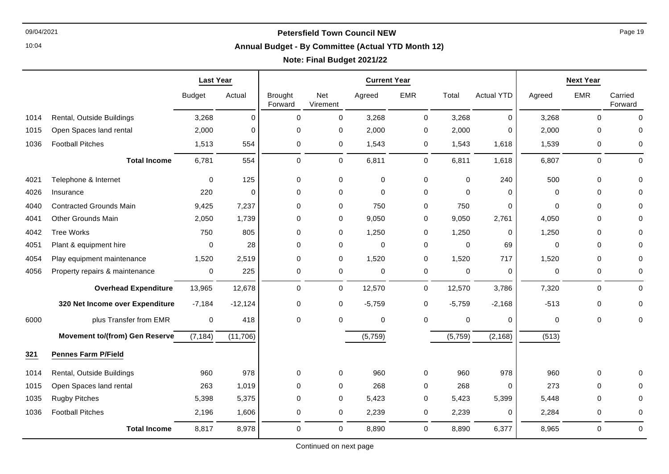10:04

#### **Annual Budget - By Committee (Actual YTD Month 12)**

# **Note: Final Budget 2021/22**

|      |                                       | <b>Last Year</b> |           | <b>Current Year</b>       |                 |             |             |             |                   |             | <b>Next Year</b> |                    |
|------|---------------------------------------|------------------|-----------|---------------------------|-----------------|-------------|-------------|-------------|-------------------|-------------|------------------|--------------------|
|      |                                       | <b>Budget</b>    | Actual    | <b>Brought</b><br>Forward | Net<br>Virement | Agreed      | <b>EMR</b>  | Total       | <b>Actual YTD</b> | Agreed      | <b>EMR</b>       | Carried<br>Forward |
| 1014 | Rental, Outside Buildings             | 3,268            | 0         | $\mathbf 0$               | 0               | 3,268       | $\mathbf 0$ | 3,268       | $\mathbf 0$       | 3,268       | $\mathbf 0$      | $\mathbf 0$        |
| 1015 | Open Spaces land rental               | 2,000            | $\Omega$  | $\mathbf 0$               | 0               | 2,000       | 0           | 2,000       | $\Omega$          | 2,000       | $\Omega$         | $\Omega$           |
| 1036 | <b>Football Pitches</b>               | 1,513            | 554       | 0                         | 0               | 1,543       | 0           | 1,543       | 1,618             | 1,539       | 0                | 0                  |
|      | <b>Total Income</b>                   | 6,781            | 554       | $\pmb{0}$                 | 0               | 6,811       | $\mathbf 0$ | 6,811       | 1,618             | 6,807       | $\mathbf 0$      | $\mathbf 0$        |
| 4021 | Telephone & Internet                  | $\mathbf 0$      | 125       | $\mathbf 0$               | $\mathbf 0$     | $\pmb{0}$   | $\mathbf 0$ | $\mathbf 0$ | 240               | 500         | $\mathbf 0$      | $\Omega$           |
| 4026 | Insurance                             | 220              | $\Omega$  | $\Omega$                  | 0               | 0           | 0           | $\Omega$    | $\Omega$          | $\Omega$    | $\Omega$         | 0                  |
| 4040 | <b>Contracted Grounds Main</b>        | 9,425            | 7,237     | $\mathbf 0$               | 0               | 750         | 0           | 750         | $\Omega$          | $\Omega$    | $\Omega$         |                    |
| 4041 | <b>Other Grounds Main</b>             | 2,050            | 1,739     | 0                         | 0               | 9,050       | 0           | 9,050       | 2,761             | 4,050       | 0                |                    |
| 4042 | <b>Tree Works</b>                     | 750              | 805       | $\mathbf 0$               | 0               | 1,250       | 0           | 1,250       | 0                 | 1,250       | $\mathbf 0$      | 0                  |
| 4051 | Plant & equipment hire                | 0                | 28        | $\mathbf 0$               | 0               | $\pmb{0}$   | 0           | $\Omega$    | 69                | $\mathbf 0$ | $\mathbf 0$      | 0                  |
| 4054 | Play equipment maintenance            | 1,520            | 2,519     | $\mathbf 0$               | 0               | 1,520       | 0           | 1,520       | 717               | 1,520       | 0                | 0                  |
| 4056 | Property repairs & maintenance        | 0                | 225       | 0                         | 0               | 0           | 0           | 0           | 0                 | 0           | 0                | 0                  |
|      | <b>Overhead Expenditure</b>           | 13,965           | 12,678    | $\mathbf 0$               | $\mathbf 0$     | 12,570      | $\mathbf 0$ | 12,570      | 3,786             | 7,320       | $\mathbf 0$      | 0                  |
|      | 320 Net Income over Expenditure       | $-7,184$         | $-12,124$ | $\mathbf 0$               | $\mathbf 0$     | $-5,759$    | $\mathbf 0$ | $-5,759$    | $-2,168$          | $-513$      | 0                | $\Omega$           |
| 6000 | plus Transfer from EMR                | $\mathbf 0$      | 418       | $\mathbf 0$               | $\mathbf 0$     | $\mathbf 0$ | 0           | $\mathbf 0$ | $\Omega$          | 0           | $\mathbf 0$      | $\Omega$           |
|      | <b>Movement to/(from) Gen Reserve</b> | (7, 184)         | (11, 706) |                           |                 | (5,759)     |             | (5,759)     | (2, 168)          | (513)       |                  |                    |
| 321  | <b>Pennes Farm P/Field</b>            |                  |           |                           |                 |             |             |             |                   |             |                  |                    |
| 1014 | Rental, Outside Buildings             | 960              | 978       | $\mathbf 0$               | 0               | 960         | $\mathbf 0$ | 960         | 978               | 960         | 0                | 0                  |
| 1015 | Open Spaces land rental               | 263              | 1,019     | $\Omega$                  | 0               | 268         | 0           | 268         | $\Omega$          | 273         | $\Omega$         |                    |
| 1035 | <b>Rugby Pitches</b>                  | 5,398            | 5,375     | $\mathbf 0$               | 0               | 5,423       | 0           | 5,423       | 5,399             | 5,448       | $\mathbf 0$      | 0                  |
| 1036 | <b>Football Pitches</b>               | 2,196            | 1,606     | $\mathbf 0$               | 0               | 2,239       | 0           | 2,239       | 0                 | 2,284       | 0                | 0                  |
|      | <b>Total Income</b>                   | 8,817            | 8,978     | $\mathbf 0$               | 0               | 8,890       | 0           | 8,890       | 6,377             | 8,965       | 0                | $\mathbf 0$        |

Continued on next page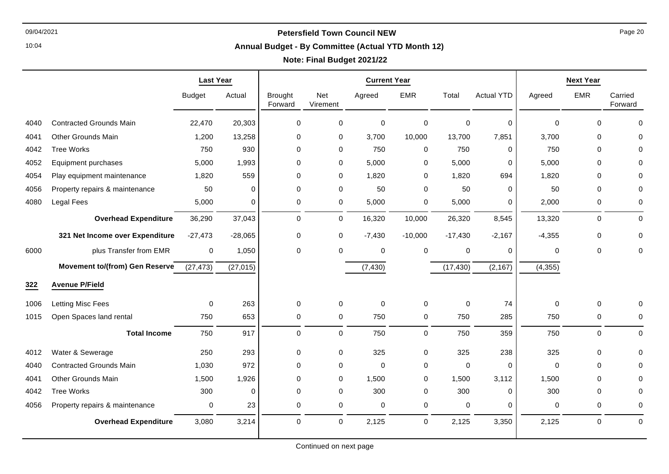10:04

#### **Annual Budget - By Committee (Actual YTD Month 12)**

|      |                                       | <b>Last Year</b> |           | <b>Current Year</b>       |                 |             |             | <b>Next Year</b> |                   |             |             |                    |
|------|---------------------------------------|------------------|-----------|---------------------------|-----------------|-------------|-------------|------------------|-------------------|-------------|-------------|--------------------|
|      |                                       | <b>Budget</b>    | Actual    | <b>Brought</b><br>Forward | Net<br>Virement | Agreed      | <b>EMR</b>  | Total            | <b>Actual YTD</b> | Agreed      | <b>EMR</b>  | Carried<br>Forward |
| 4040 | <b>Contracted Grounds Main</b>        | 22,470           | 20,303    | 0                         | 0               | 0           | $\mathbf 0$ | 0                | 0                 | $\Omega$    | $\mathbf 0$ | 0                  |
| 4041 | <b>Other Grounds Main</b>             | 1,200            | 13,258    | 0                         | 0               | 3,700       | 10,000      | 13,700           | 7,851             | 3,700       | $\mathbf 0$ | $\Omega$           |
| 4042 | <b>Tree Works</b>                     | 750              | 930       | 0                         | 0               | 750         | $\mathbf 0$ | 750              | 0                 | 750         | $\mathbf 0$ | 0                  |
| 4052 | Equipment purchases                   | 5,000            | 1,993     | 0                         | 0               | 5,000       | 0           | 5,000            | 0                 | 5,000       | $\mathbf 0$ | 0                  |
| 4054 | Play equipment maintenance            | 1,820            | 559       | 0                         | 0               | 1,820       | 0           | 1,820            | 694               | 1,820       | $\mathbf 0$ | 0                  |
| 4056 | Property repairs & maintenance        | 50               | 0         | 0                         | 0               | 50          | 0           | 50               | 0                 | 50          | 0           | 0                  |
| 4080 | Legal Fees                            | 5,000            | 0         | 0                         | 0               | 5,000       | 0           | 5,000            | 0                 | 2,000       | 0           | 0                  |
|      | <b>Overhead Expenditure</b>           | 36,290           | 37,043    | 0                         | 0               | 16,320      | 10,000      | 26,320           | 8,545             | 13,320      | $\mathbf 0$ | $\mathbf 0$        |
|      | 321 Net Income over Expenditure       | $-27,473$        | $-28,065$ | 0                         | 0               | $-7,430$    | $-10,000$   | $-17,430$        | $-2,167$          | $-4,355$    | $\mathbf 0$ | $\mathbf 0$        |
| 6000 | plus Transfer from EMR                | $\pmb{0}$        | 1,050     | 0                         | 0               | 0           | $\mathbf 0$ | 0                | 0                 | 0           | 0           | 0                  |
|      | <b>Movement to/(from) Gen Reserve</b> | (27, 473)        | (27, 015) |                           |                 | (7, 430)    |             | (17, 430)        | (2, 167)          | (4, 355)    |             |                    |
| 322  | <b>Avenue P/Field</b>                 |                  |           |                           |                 |             |             |                  |                   |             |             |                    |
| 1006 | Letting Misc Fees                     | 0                | 263       | 0                         | 0               | 0           | 0           | 0                | 74                | $\Omega$    | $\mathbf 0$ | 0                  |
| 1015 | Open Spaces land rental               | 750              | 653       | 0                         | 0               | 750         | 0           | 750              | 285               | 750         | 0           | 0                  |
|      | <b>Total Income</b>                   | 750              | 917       | 0                         | 0               | 750         | $\mathbf 0$ | 750              | 359               | 750         | $\mathbf 0$ | $\mathbf 0$        |
| 4012 | Water & Sewerage                      | 250              | 293       | 0                         | 0               | 325         | 0           | 325              | 238               | 325         | $\mathbf 0$ | $\mathbf 0$        |
| 4040 | <b>Contracted Grounds Main</b>        | 1,030            | 972       | 0                         | 0               | $\mathbf 0$ | $\mathbf 0$ | 0                | 0                 | $\mathbf 0$ | $\mathbf 0$ | $\Omega$           |
| 4041 | Other Grounds Main                    | 1,500            | 1,926     | 0                         | 0               | 1,500       | 0           | 1,500            | 3,112             | 1,500       | 0           | 0                  |
| 4042 | <b>Tree Works</b>                     | 300              | 0         | 0                         | 0               | 300         | $\mathbf 0$ | 300              | 0                 | 300         | $\Omega$    | 0                  |
| 4056 | Property repairs & maintenance        | 0                | 23        | 0                         | 0               | 0           | 0           | 0                | 0                 | 0           | 0           | 0                  |
|      | <b>Overhead Expenditure</b>           | 3,080            | 3,214     | 0                         | 0               | 2,125       | $\mathbf 0$ | 2,125            | 3,350             | 2,125       | 0           | $\mathbf 0$        |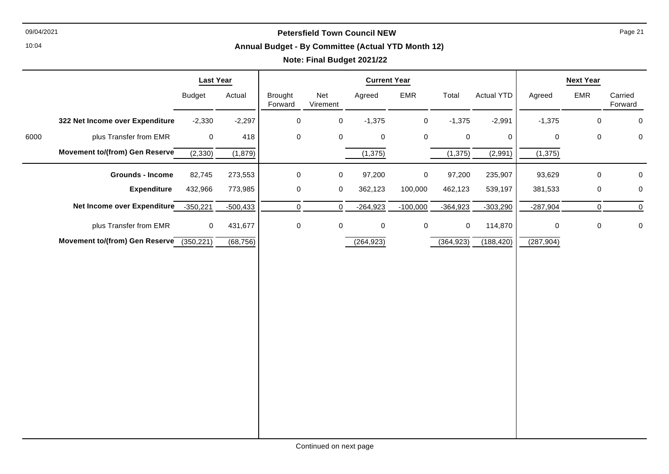#### **Annual Budget - By Committee (Actual YTD Month 12)**

# **Note: Final Budget 2021/22**

|      |                                          | <b>Last Year</b> |            | <b>Current Year</b> |                 |            |             |             | <b>Next Year</b> |             |             |                    |
|------|------------------------------------------|------------------|------------|---------------------|-----------------|------------|-------------|-------------|------------------|-------------|-------------|--------------------|
|      |                                          | <b>Budget</b>    | Actual     | Brought<br>Forward  | Net<br>Virement | Agreed     | <b>EMR</b>  | Total       | Actual YTD       | Agreed      | EMR         | Carried<br>Forward |
|      | 322 Net Income over Expenditure          | $-2,330$         | $-2,297$   | $\mathbf 0$         | $\mathbf 0$     | $-1,375$   | $\mathbf 0$ | $-1,375$    | $-2,991$         | $-1,375$    | $\pmb{0}$   | 0                  |
| 6000 | plus Transfer from EMR                   | $\mathbf 0$      | 418        | 0                   | 0               | 0          | $\mathbf 0$ | $\mathbf 0$ | $\Omega$         | $\mathbf 0$ | $\pmb{0}$   | $\mathbf 0$        |
|      | Movement to/(from) Gen Reserve           | (2, 330)         | (1,879)    |                     |                 | (1, 375)   |             | (1, 375)    | (2,991)          | (1, 375)    |             |                    |
|      | <b>Grounds - Income</b>                  | 82,745           | 273,553    | 0                   | $\mathbf 0$     | 97,200     | $\mathbf 0$ | 97,200      | 235,907          | 93,629      | $\pmb{0}$   | 0                  |
|      | <b>Expenditure</b>                       | 432,966          | 773,985    | $\mathbf 0$         | $\mathsf{O}$    | 362,123    | 100,000     | 462,123     | 539,197          | 381,533     | $\pmb{0}$   | 0                  |
|      | Net Income over Expenditure              | $-350,221$       | $-500,433$ | $\mathbf 0$         | $\mathbf 0$     | $-264,923$ | $-100,000$  | $-364,923$  | $-303,290$       | $-287,904$  | $\mathbf 0$ | $\mathbf 0$        |
|      | plus Transfer from EMR                   | 0                | 431,677    | $\mathbf 0$         | $\mathsf{O}$    | 0          | $\mathbf 0$ | 0           | 114,870          | 0           | $\pmb{0}$   | 0                  |
|      | Movement to/(from) Gen Reserve (350,221) |                  | (68, 756)  |                     |                 | (264, 923) |             | (364, 923)  | (188, 420)       | (287, 904)  |             |                    |
|      |                                          |                  |            |                     |                 |            |             |             |                  |             |             |                    |
|      |                                          |                  |            |                     |                 |            |             |             |                  |             |             |                    |
|      |                                          |                  |            |                     |                 |            |             |             |                  |             |             |                    |